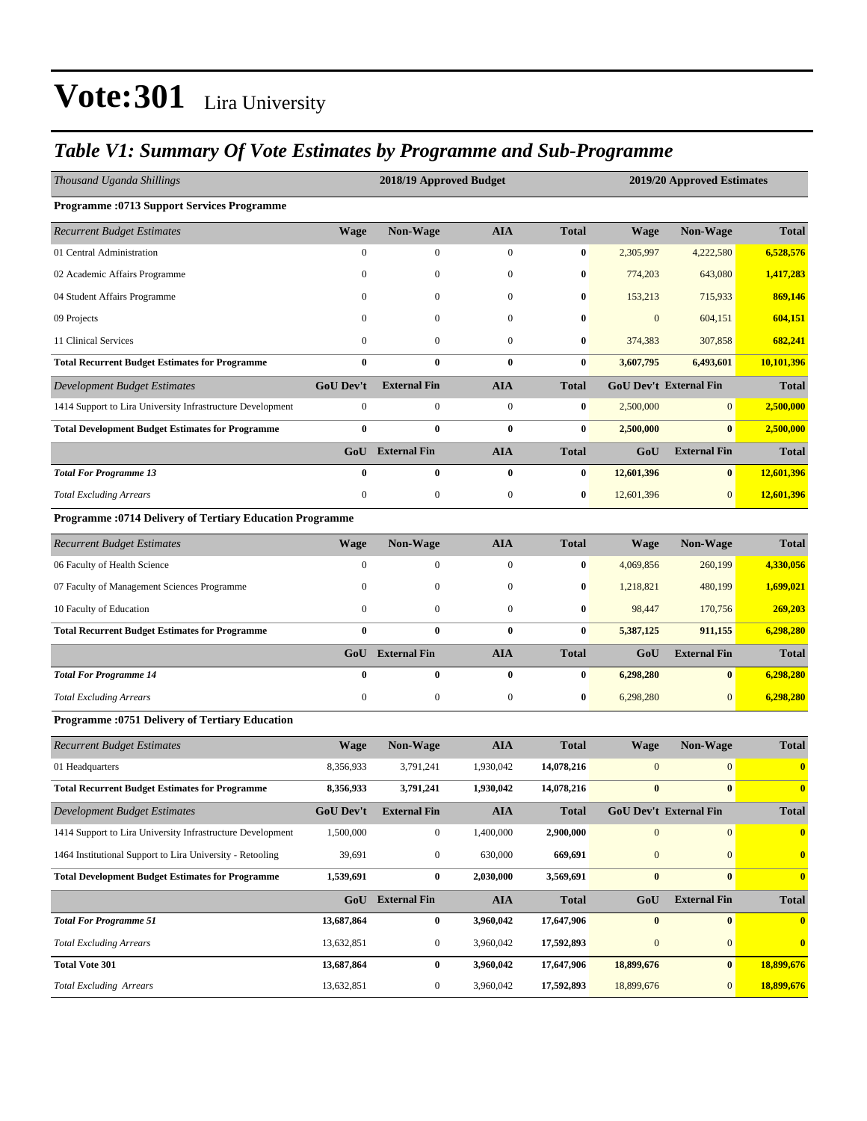### *Table V1: Summary Of Vote Estimates by Programme and Sub-Programme*

| Thousand Uganda Shillings                                       |                  | 2018/19 Approved Budget |                  |              | 2019/20 Approved Estimates |                               |                  |  |
|-----------------------------------------------------------------|------------------|-------------------------|------------------|--------------|----------------------------|-------------------------------|------------------|--|
| <b>Programme: 0713 Support Services Programme</b>               |                  |                         |                  |              |                            |                               |                  |  |
| <b>Recurrent Budget Estimates</b>                               | <b>Wage</b>      | Non-Wage                | <b>AIA</b>       | <b>Total</b> | <b>Wage</b>                | Non-Wage                      | <b>Total</b>     |  |
| 01 Central Administration                                       | $\boldsymbol{0}$ | $\boldsymbol{0}$        | $\boldsymbol{0}$ | $\bf{0}$     | 2,305,997                  | 4,222,580                     | 6,528,576        |  |
| 02 Academic Affairs Programme                                   | $\mathbf{0}$     | $\boldsymbol{0}$        | $\boldsymbol{0}$ | $\bf{0}$     | 774,203                    | 643,080                       | 1,417,283        |  |
| 04 Student Affairs Programme                                    | $\mathbf{0}$     | $\mathbf{0}$            | $\mathbf{0}$     | $\bf{0}$     | 153,213                    | 715,933                       | 869,146          |  |
| 09 Projects                                                     | $\mathbf{0}$     | $\boldsymbol{0}$        | $\mathbf{0}$     | $\bf{0}$     | $\mathbf{0}$               | 604,151                       | 604,151          |  |
| 11 Clinical Services                                            | $\mathbf{0}$     | $\boldsymbol{0}$        | $\boldsymbol{0}$ | $\bf{0}$     | 374,383                    | 307,858                       | 682,241          |  |
| <b>Total Recurrent Budget Estimates for Programme</b>           | $\bf{0}$         | 0                       | $\bf{0}$         | $\bf{0}$     | 3,607,795                  | 6,493,601                     | 10,101,396       |  |
| <b>Development Budget Estimates</b>                             | <b>GoU Dev't</b> | <b>External Fin</b>     | <b>AIA</b>       | <b>Total</b> |                            | <b>GoU Dev't External Fin</b> | <b>Total</b>     |  |
| 1414 Support to Lira University Infrastructure Development      | $\boldsymbol{0}$ | $\boldsymbol{0}$        | $\boldsymbol{0}$ | $\bf{0}$     | 2,500,000                  | $\mathbf{0}$                  | 2,500,000        |  |
| <b>Total Development Budget Estimates for Programme</b>         | $\bf{0}$         | $\bf{0}$                | $\bf{0}$         | $\bf{0}$     | 2,500,000                  | $\bf{0}$                      | 2,500,000        |  |
|                                                                 |                  | <b>GoU</b> External Fin | <b>AIA</b>       | <b>Total</b> | GoU                        | <b>External Fin</b>           | <b>Total</b>     |  |
| <b>Total For Programme 13</b>                                   | $\bf{0}$         | 0                       | $\bf{0}$         | $\bf{0}$     | 12,601,396                 | $\bf{0}$                      | 12,601,396       |  |
| <b>Total Excluding Arrears</b>                                  | $\boldsymbol{0}$ | $\boldsymbol{0}$        | $\boldsymbol{0}$ | $\bf{0}$     | 12,601,396                 | $\overline{0}$                | 12,601,396       |  |
| <b>Programme: 0714 Delivery of Tertiary Education Programme</b> |                  |                         |                  |              |                            |                               |                  |  |
| <b>Recurrent Budget Estimates</b>                               | <b>Wage</b>      | Non-Wage                | <b>AIA</b>       | <b>Total</b> | Wage                       | Non-Wage                      | <b>Total</b>     |  |
| 06 Faculty of Health Science                                    | $\boldsymbol{0}$ | 0                       | $\boldsymbol{0}$ | $\bf{0}$     | 4,069,856                  | 260,199                       | 4,330,056        |  |
| 07 Faculty of Management Sciences Programme                     | $\mathbf{0}$     | $\boldsymbol{0}$        | $\boldsymbol{0}$ | $\bf{0}$     | 1,218,821                  | 480,199                       | 1,699,021        |  |
| 10 Faculty of Education                                         | $\boldsymbol{0}$ | $\boldsymbol{0}$        | $\overline{0}$   | $\bf{0}$     | 98,447                     | 170,756                       | 269,203          |  |
| <b>Total Recurrent Budget Estimates for Programme</b>           | $\bf{0}$         | 0                       | $\bf{0}$         | $\bf{0}$     | 5,387,125                  | 911,155                       | 6,298,280        |  |
|                                                                 |                  | GoU External Fin        | <b>AIA</b>       | <b>Total</b> | GoU                        | <b>External Fin</b>           | <b>Total</b>     |  |
| <b>Total For Programme 14</b>                                   | $\bf{0}$         | $\bf{0}$                | $\bf{0}$         | $\bf{0}$     | 6,298,280                  | $\bf{0}$                      | 6,298,280        |  |
| <b>Total Excluding Arrears</b>                                  | $\boldsymbol{0}$ | $\boldsymbol{0}$        | $\boldsymbol{0}$ | $\bf{0}$     | 6,298,280                  | $\overline{0}$                | 6,298,280        |  |
| <b>Programme: 0751 Delivery of Tertiary Education</b>           |                  |                         |                  |              |                            |                               |                  |  |
| <b>Recurrent Budget Estimates</b>                               | <b>Wage</b>      | Non-Wage                | <b>AIA</b>       | <b>Total</b> | Wage                       | Non-Wage                      | <b>Total</b>     |  |
| 01 Headquarters                                                 | 8,356,933        | 3,791,241               | 1,930,042        | 14,078,216   | $\boldsymbol{0}$           | $\overline{0}$                | $\bf{0}$         |  |
| <b>Total Recurrent Budget Estimates for Programme</b>           | 8,356,933        | 3,791,241               | 1,930,042        | 14,078,216   | $\bf{0}$                   | $\bf{0}$                      | $\bf{0}$         |  |
| <b>Development Budget Estimates</b>                             | <b>GoU Dev't</b> | <b>External Fin</b>     | <b>AIA</b>       | <b>Total</b> |                            | GoU Dev't External Fin        | <b>Total</b>     |  |
| 1414 Support to Lira University Infrastructure Development      | 1,500,000        | $\boldsymbol{0}$        | 1,400,000        | 2,900,000    | $\mathbf{0}$               | $\overline{0}$                | $\bf{0}$         |  |
| 1464 Institutional Support to Lira University - Retooling       | 39,691           | $\boldsymbol{0}$        | 630,000          | 669,691      | $\boldsymbol{0}$           | $\overline{0}$                | $\boldsymbol{0}$ |  |
| <b>Total Development Budget Estimates for Programme</b>         | 1,539,691        | $\bf{0}$                | 2,030,000        | 3,569,691    | $\pmb{0}$                  | $\bf{0}$                      | $\bf{0}$         |  |
|                                                                 |                  | GoU External Fin        | <b>AIA</b>       | <b>Total</b> | GoU                        | <b>External Fin</b>           | <b>Total</b>     |  |
| <b>Total For Programme 51</b>                                   | 13,687,864       | $\bf{0}$                | 3,960,042        | 17,647,906   | $\bf{0}$                   | $\bf{0}$                      | $\bf{0}$         |  |
| <b>Total Excluding Arrears</b>                                  | 13,632,851       | $\mathbf{0}$            | 3,960,042        | 17,592,893   | $\mathbf{0}$               | $\overline{0}$                | $\bf{0}$         |  |
| <b>Total Vote 301</b>                                           | 13,687,864       | $\bf{0}$                | 3,960,042        | 17,647,906   | 18,899,676                 | $\mathbf{0}$                  | 18,899,676       |  |
| <b>Total Excluding Arrears</b>                                  | 13,632,851       | $\boldsymbol{0}$        | 3,960,042        | 17,592,893   | 18,899,676                 | $\overline{0}$                | 18,899,676       |  |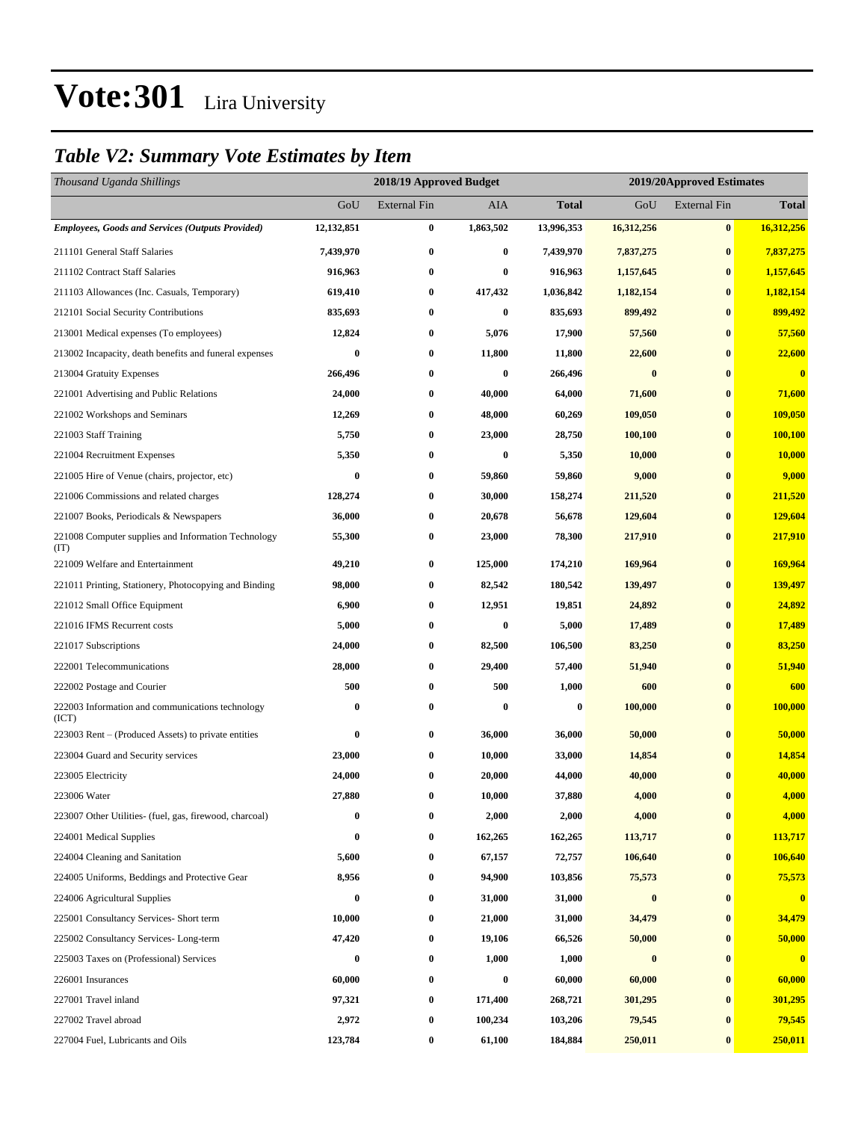### *Table V2: Summary Vote Estimates by Item*

| Thousand Uganda Shillings                                   |            | 2018/19 Approved Budget |           | 2019/20Approved Estimates |                  |                     |              |  |  |
|-------------------------------------------------------------|------------|-------------------------|-----------|---------------------------|------------------|---------------------|--------------|--|--|
|                                                             | GoU        | <b>External Fin</b>     | AIA       | <b>Total</b>              | GoU              | <b>External Fin</b> | <b>Total</b> |  |  |
| <b>Employees, Goods and Services (Outputs Provided)</b>     | 12,132,851 | $\boldsymbol{0}$        | 1,863,502 | 13,996,353                | 16,312,256       | $\bf{0}$            | 16,312,256   |  |  |
| 211101 General Staff Salaries                               | 7,439,970  | $\bf{0}$                | $\bf{0}$  | 7,439,970                 | 7,837,275        | $\bf{0}$            | 7,837,275    |  |  |
| 211102 Contract Staff Salaries                              | 916,963    | $\boldsymbol{0}$        | $\bf{0}$  | 916,963                   | 1,157,645        | $\bf{0}$            | 1,157,645    |  |  |
| 211103 Allowances (Inc. Casuals, Temporary)                 | 619,410    | $\boldsymbol{0}$        | 417,432   | 1,036,842                 | 1,182,154        | $\bf{0}$            | 1,182,154    |  |  |
| 212101 Social Security Contributions                        | 835,693    | $\bf{0}$                | $\bf{0}$  | 835,693                   | 899,492          | $\bf{0}$            | 899,492      |  |  |
| 213001 Medical expenses (To employees)                      | 12,824     | $\bf{0}$                | 5,076     | 17,900                    | 57,560           | $\bf{0}$            | 57,560       |  |  |
| 213002 Incapacity, death benefits and funeral expenses      | $\bf{0}$   | $\boldsymbol{0}$        | 11,800    | 11,800                    | 22,600           | $\bf{0}$            | 22,600       |  |  |
| 213004 Gratuity Expenses                                    | 266,496    | $\bf{0}$                | $\bf{0}$  | 266,496                   | $\bf{0}$         | $\bf{0}$            | $\bf{0}$     |  |  |
| 221001 Advertising and Public Relations                     | 24,000     | $\bf{0}$                | 40,000    | 64,000                    | 71,600           | $\bf{0}$            | 71,600       |  |  |
| 221002 Workshops and Seminars                               | 12,269     | $\bf{0}$                | 48,000    | 60,269                    | 109,050          | $\bf{0}$            | 109,050      |  |  |
| 221003 Staff Training                                       | 5,750      | $\bf{0}$                | 23,000    | 28,750                    | 100,100          | $\bf{0}$            | 100,100      |  |  |
| 221004 Recruitment Expenses                                 | 5,350      | $\boldsymbol{0}$        | $\bf{0}$  | 5,350                     | 10,000           | $\bf{0}$            | 10,000       |  |  |
| 221005 Hire of Venue (chairs, projector, etc)               | 0          | $\bf{0}$                | 59,860    | 59,860                    | 9,000            | $\bf{0}$            | 9,000        |  |  |
| 221006 Commissions and related charges                      | 128,274    | $\boldsymbol{0}$        | 30,000    | 158,274                   | 211,520          | $\bf{0}$            | 211,520      |  |  |
| 221007 Books, Periodicals & Newspapers                      | 36,000     | $\boldsymbol{0}$        | 20,678    | 56,678                    | 129,604          | $\bf{0}$            | 129,604      |  |  |
| 221008 Computer supplies and Information Technology<br>(TT) | 55,300     | $\bf{0}$                | 23,000    | 78,300                    | 217,910          | $\bf{0}$            | 217,910      |  |  |
| 221009 Welfare and Entertainment                            | 49,210     | $\boldsymbol{0}$        | 125,000   | 174,210                   | 169,964          | $\bf{0}$            | 169,964      |  |  |
| 221011 Printing, Stationery, Photocopying and Binding       | 98,000     | $\bf{0}$                | 82,542    | 180,542                   | 139,497          | $\bf{0}$            | 139,497      |  |  |
| 221012 Small Office Equipment                               | 6,900      | $\bf{0}$                | 12,951    | 19,851                    | 24,892           | $\bf{0}$            | 24,892       |  |  |
| 221016 IFMS Recurrent costs                                 | 5,000      | $\bf{0}$                | $\bf{0}$  | 5,000                     | 17,489           | $\bf{0}$            | 17,489       |  |  |
| 221017 Subscriptions                                        | 24,000     | $\bf{0}$                | 82,500    | 106,500                   | 83,250           | $\bf{0}$            | 83,250       |  |  |
| 222001 Telecommunications                                   | 28,000     | $\bf{0}$                | 29,400    | 57,400                    | 51,940           | $\bf{0}$            | 51,940       |  |  |
| 222002 Postage and Courier                                  | 500        | $\bf{0}$                | 500       | 1,000                     | 600              | $\bf{0}$            | 600          |  |  |
| 222003 Information and communications technology<br>(ICT)   | 0          | $\bf{0}$                | $\bf{0}$  | $\bf{0}$                  | 100,000          | $\bf{0}$            | 100,000      |  |  |
| 223003 Rent – (Produced Assets) to private entities         | 0          | $\bf{0}$                | 36,000    | 36,000                    | 50,000           | $\bf{0}$            | 50,000       |  |  |
| 223004 Guard and Security services                          | 23,000     | $\bf{0}$                | 10,000    | 33,000                    | 14,854           | $\bf{0}$            | 14,854       |  |  |
| 223005 Electricity                                          | 24,000     | $\bf{0}$                | 20,000    | 44,000                    | 40,000           | $\bf{0}$            | 40,000       |  |  |
| 223006 Water                                                | 27,880     | $\bf{0}$                | 10,000    | 37,880                    | 4,000            | $\bf{0}$            | 4,000        |  |  |
| 223007 Other Utilities- (fuel, gas, firewood, charcoal)     | 0          | $\boldsymbol{0}$        | 2,000     | 2,000                     | 4,000            | $\bf{0}$            | 4,000        |  |  |
| 224001 Medical Supplies                                     | 0          | 0                       | 162,265   | 162,265                   | 113,717          | $\bf{0}$            | 113,717      |  |  |
| 224004 Cleaning and Sanitation                              | 5,600      | $\boldsymbol{0}$        | 67,157    | 72,757                    | 106,640          | $\bf{0}$            | 106,640      |  |  |
| 224005 Uniforms, Beddings and Protective Gear               | 8,956      | $\boldsymbol{0}$        | 94,900    | 103,856                   | 75,573           | $\bf{0}$            | 75,573       |  |  |
| 224006 Agricultural Supplies                                | $\bf{0}$   | $\boldsymbol{0}$        | 31,000    | 31,000                    | $\boldsymbol{0}$ | $\bf{0}$            | $\bf{0}$     |  |  |
| 225001 Consultancy Services- Short term                     | 10,000     | $\boldsymbol{0}$        | 21,000    | 31,000                    | 34,479           | $\bf{0}$            | 34,479       |  |  |
| 225002 Consultancy Services-Long-term                       | 47,420     | 0                       | 19,106    | 66,526                    | 50,000           | $\bf{0}$            | 50,000       |  |  |
| 225003 Taxes on (Professional) Services                     | $\bf{0}$   | $\boldsymbol{0}$        | 1,000     | 1,000                     | $\boldsymbol{0}$ | $\bf{0}$            | $\bf{0}$     |  |  |
| 226001 Insurances                                           | 60,000     | $\boldsymbol{0}$        | $\bf{0}$  | 60,000                    | 60,000           | $\bf{0}$            | 60,000       |  |  |
| 227001 Travel inland                                        | 97,321     | $\boldsymbol{0}$        | 171,400   | 268,721                   | 301,295          | $\bf{0}$            | 301,295      |  |  |
| 227002 Travel abroad                                        | 2,972      | $\boldsymbol{0}$        | 100,234   | 103,206                   | 79,545           | $\bf{0}$            | 79,545       |  |  |
| 227004 Fuel, Lubricants and Oils                            | 123,784    | $\boldsymbol{0}$        | 61,100    | 184,884                   | 250,011          | $\bf{0}$            | 250,011      |  |  |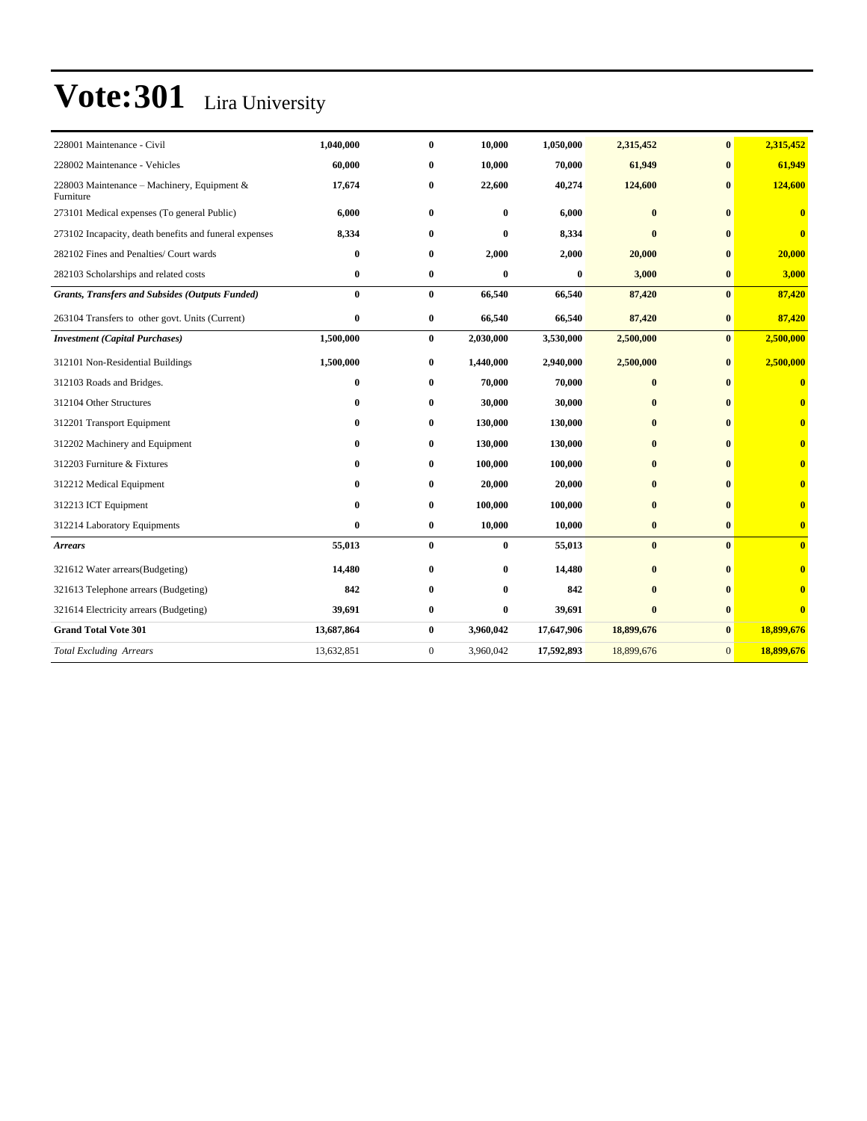| 228001 Maintenance - Civil                               | 1,040,000  | $\bf{0}$     | 10,000       | 1,050,000  | 2,315,452    | $\bf{0}$     | 2,315,452               |
|----------------------------------------------------------|------------|--------------|--------------|------------|--------------|--------------|-------------------------|
| 228002 Maintenance - Vehicles                            | 60,000     | $\bf{0}$     | 10,000       | 70,000     | 61,949       | $\bf{0}$     | 61,949                  |
| 228003 Maintenance – Machinery, Equipment &<br>Furniture | 17,674     | $\bf{0}$     | 22,600       | 40,274     | 124,600      | $\mathbf{0}$ | 124,600                 |
| 273101 Medical expenses (To general Public)              | 6,000      | $\bf{0}$     | 0            | 6,000      | $\bf{0}$     | $\mathbf{0}$ | $\mathbf{0}$            |
| 273102 Incapacity, death benefits and funeral expenses   | 8,334      | $\bf{0}$     | $\bf{0}$     | 8,334      | $\mathbf{0}$ | $\bf{0}$     | $\overline{\mathbf{0}}$ |
| 282102 Fines and Penalties/ Court wards                  | 0          | $\bf{0}$     | 2,000        | 2,000      | 20,000       | $\mathbf{0}$ | 20,000                  |
| 282103 Scholarships and related costs                    | 0          | $\bf{0}$     | $\bf{0}$     | $\bf{0}$   | 3,000        | $\bf{0}$     | 3,000                   |
| <b>Grants, Transfers and Subsides (Outputs Funded)</b>   | $\bf{0}$   | $\bf{0}$     | 66,540       | 66,540     | 87,420       | $\bf{0}$     | 87,420                  |
| 263104 Transfers to other govt. Units (Current)          | 0          | $\bf{0}$     | 66,540       | 66,540     | 87,420       | $\bf{0}$     | 87,420                  |
| <b>Investment</b> (Capital Purchases)                    | 1,500,000  | $\bf{0}$     | 2,030,000    | 3,530,000  | 2,500,000    | $\bf{0}$     | 2,500,000               |
| 312101 Non-Residential Buildings                         | 1,500,000  | $\bf{0}$     | 1,440,000    | 2,940,000  | 2,500,000    | $\bf{0}$     | 2,500,000               |
| 312103 Roads and Bridges.                                | 0          | $\bf{0}$     | 70,000       | 70,000     | $\bf{0}$     | $\mathbf{0}$ | $\overline{\mathbf{0}}$ |
| 312104 Other Structures                                  | 0          | $\bf{0}$     | 30,000       | 30,000     | $\mathbf{0}$ | $\mathbf{0}$ |                         |
| 312201 Transport Equipment                               | 0          | $\bf{0}$     | 130,000      | 130,000    | $\bf{0}$     | $\bf{0}$     | $\mathbf{0}$            |
| 312202 Machinery and Equipment                           | 0          | $\mathbf{0}$ | 130,000      | 130,000    | $\mathbf{0}$ | $\mathbf{0}$ | $\bf{0}$                |
| 312203 Furniture & Fixtures                              | 0          | $\bf{0}$     | 100,000      | 100,000    | $\mathbf{0}$ | $\mathbf{0}$ | $\mathbf{0}$            |
| 312212 Medical Equipment                                 | 0          | $\bf{0}$     | 20,000       | 20,000     | $\mathbf{0}$ | $\mathbf{0}$ |                         |
| 312213 ICT Equipment                                     | 0          | $\bf{0}$     | 100,000      | 100,000    | $\bf{0}$     | $\mathbf{0}$ |                         |
| 312214 Laboratory Equipments                             | 0          | $\bf{0}$     | 10,000       | 10,000     | $\bf{0}$     | $\bf{0}$     | $\bf{0}$                |
| <b>Arrears</b>                                           | 55,013     | $\bf{0}$     | $\bf{0}$     | 55,013     | $\bf{0}$     | $\mathbf{0}$ | $\overline{\mathbf{0}}$ |
| 321612 Water arrears(Budgeting)                          | 14,480     | $\bf{0}$     | $\bf{0}$     | 14,480     | $\bf{0}$     | $\mathbf{0}$ | $\mathbf{0}$            |
| 321613 Telephone arrears (Budgeting)                     | 842        | $\bf{0}$     | $\mathbf{0}$ | 842        | $\mathbf{0}$ | $\mathbf{0}$ |                         |
| 321614 Electricity arrears (Budgeting)                   | 39,691     | $\bf{0}$     | 0            | 39,691     | $\bf{0}$     | $\bf{0}$     | $\overline{0}$          |
| <b>Grand Total Vote 301</b>                              | 13,687,864 | $\bf{0}$     | 3,960,042    | 17,647,906 | 18,899,676   | $\bf{0}$     | 18,899,676              |
| <b>Total Excluding Arrears</b>                           | 13,632,851 | $\mathbf{0}$ | 3,960,042    | 17,592,893 | 18,899,676   | $\mathbf{0}$ | 18,899,676              |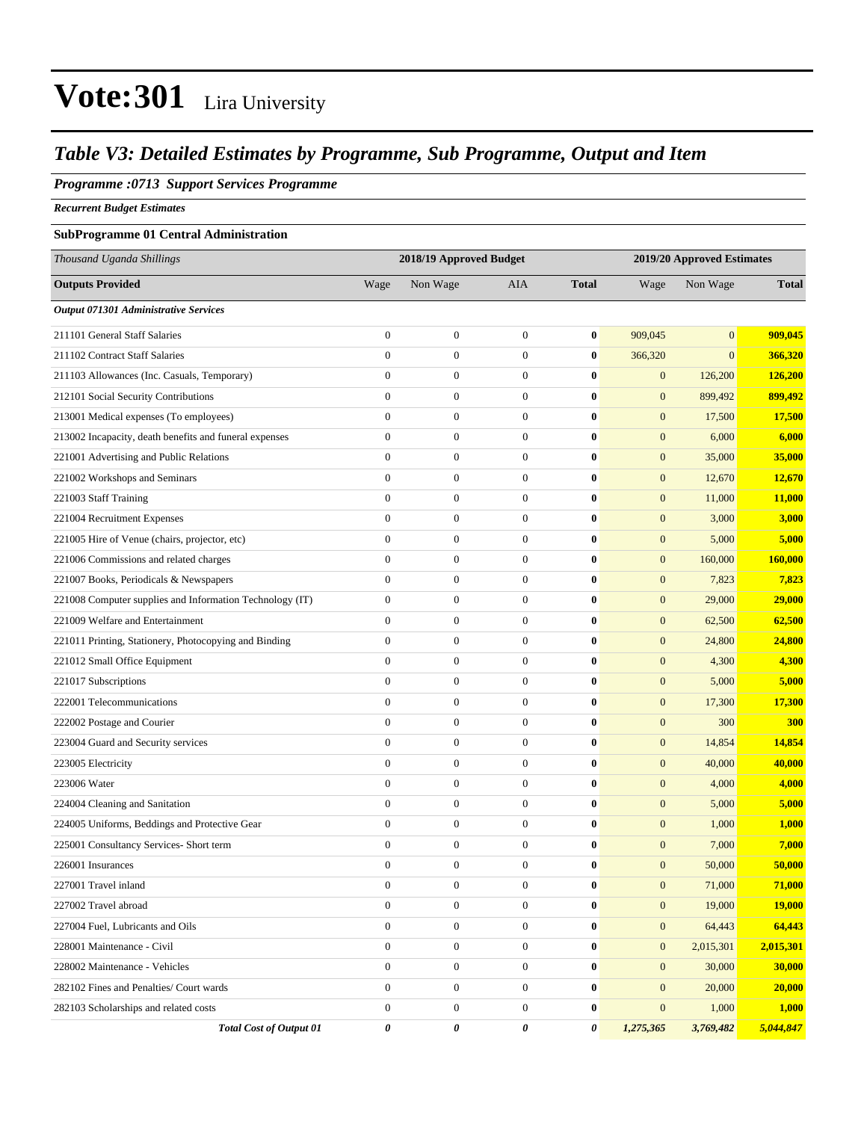#### *Table V3: Detailed Estimates by Programme, Sub Programme, Output and Item*

#### *Programme :0713 Support Services Programme*

*Recurrent Budget Estimates*

#### **SubProgramme 01 Central Administration**

| Thousand Uganda Shillings                                |                  | 2018/19 Approved Budget |                  |              | 2019/20 Approved Estimates |                |               |
|----------------------------------------------------------|------------------|-------------------------|------------------|--------------|----------------------------|----------------|---------------|
| <b>Outputs Provided</b>                                  | Wage             | Non Wage                | <b>AIA</b>       | <b>Total</b> | Wage                       | Non Wage       | <b>Total</b>  |
| Output 071301 Administrative Services                    |                  |                         |                  |              |                            |                |               |
| 211101 General Staff Salaries                            | $\boldsymbol{0}$ | $\boldsymbol{0}$        | $\boldsymbol{0}$ | $\bf{0}$     | 909,045                    | $\overline{0}$ | 909,045       |
| 211102 Contract Staff Salaries                           | $\overline{0}$   | $\boldsymbol{0}$        | $\boldsymbol{0}$ | $\bf{0}$     | 366,320                    | $\overline{0}$ | 366,320       |
| 211103 Allowances (Inc. Casuals, Temporary)              | $\boldsymbol{0}$ | $\boldsymbol{0}$        | $\mathbf{0}$     | $\bf{0}$     | $\mathbf{0}$               | 126,200        | 126,200       |
| 212101 Social Security Contributions                     | $\overline{0}$   | $\boldsymbol{0}$        | $\mathbf{0}$     | $\bf{0}$     | $\mathbf{0}$               | 899,492        | 899,492       |
| 213001 Medical expenses (To employees)                   | $\boldsymbol{0}$ | $\boldsymbol{0}$        | $\mathbf{0}$     | $\bf{0}$     | $\mathbf{0}$               | 17,500         | 17,500        |
| 213002 Incapacity, death benefits and funeral expenses   | $\overline{0}$   | $\boldsymbol{0}$        | $\boldsymbol{0}$ | $\bf{0}$     | $\mathbf{0}$               | 6,000          | 6,000         |
| 221001 Advertising and Public Relations                  | $\boldsymbol{0}$ | $\boldsymbol{0}$        | $\boldsymbol{0}$ | $\bf{0}$     | $\mathbf{0}$               | 35,000         | 35,000        |
| 221002 Workshops and Seminars                            | $\boldsymbol{0}$ | $\boldsymbol{0}$        | $\mathbf{0}$     | $\bf{0}$     | $\mathbf{0}$               | 12,670         | 12,670        |
| 221003 Staff Training                                    | $\overline{0}$   | $\boldsymbol{0}$        | $\mathbf{0}$     | $\bf{0}$     | $\mathbf{0}$               | 11,000         | 11,000        |
| 221004 Recruitment Expenses                              | $\overline{0}$   | $\boldsymbol{0}$        | $\mathbf{0}$     | $\bf{0}$     | $\boldsymbol{0}$           | 3,000          | 3,000         |
| 221005 Hire of Venue (chairs, projector, etc)            | $\overline{0}$   | $\boldsymbol{0}$        | $\boldsymbol{0}$ | $\bf{0}$     | $\boldsymbol{0}$           | 5,000          | 5,000         |
| 221006 Commissions and related charges                   | $\overline{0}$   | $\boldsymbol{0}$        | $\boldsymbol{0}$ | $\bf{0}$     | $\mathbf{0}$               | 160,000        | 160,000       |
| 221007 Books, Periodicals & Newspapers                   | $\boldsymbol{0}$ | $\boldsymbol{0}$        | $\mathbf{0}$     | $\bf{0}$     | $\mathbf{0}$               | 7,823          | 7,823         |
| 221008 Computer supplies and Information Technology (IT) | $\boldsymbol{0}$ | $\boldsymbol{0}$        | $\mathbf{0}$     | $\bf{0}$     | $\boldsymbol{0}$           | 29,000         | 29,000        |
| 221009 Welfare and Entertainment                         | $\boldsymbol{0}$ | $\boldsymbol{0}$        | $\mathbf{0}$     | $\bf{0}$     | $\boldsymbol{0}$           | 62,500         | 62,500        |
| 221011 Printing, Stationery, Photocopying and Binding    | $\overline{0}$   | $\boldsymbol{0}$        | $\boldsymbol{0}$ | $\bf{0}$     | $\mathbf{0}$               | 24,800         | 24,800        |
| 221012 Small Office Equipment                            | $\overline{0}$   | $\boldsymbol{0}$        | $\boldsymbol{0}$ | $\bf{0}$     | $\mathbf{0}$               | 4,300          | 4,300         |
| 221017 Subscriptions                                     | $\boldsymbol{0}$ | $\boldsymbol{0}$        | $\mathbf{0}$     | $\bf{0}$     | $\mathbf{0}$               | 5,000          | 5,000         |
| 222001 Telecommunications                                | $\overline{0}$   | $\boldsymbol{0}$        | $\mathbf{0}$     | $\bf{0}$     | $\boldsymbol{0}$           | 17,300         | 17,300        |
| 222002 Postage and Courier                               | $\boldsymbol{0}$ | $\boldsymbol{0}$        | $\mathbf{0}$     | $\bf{0}$     | $\mathbf{0}$               | 300            | <b>300</b>    |
| 223004 Guard and Security services                       | $\overline{0}$   | $\boldsymbol{0}$        | $\boldsymbol{0}$ | $\bf{0}$     | $\boldsymbol{0}$           | 14,854         | 14,854        |
| 223005 Electricity                                       | $\overline{0}$   | $\boldsymbol{0}$        | $\boldsymbol{0}$ | $\bf{0}$     | $\mathbf{0}$               | 40,000         | 40,000        |
| 223006 Water                                             | $\boldsymbol{0}$ | $\boldsymbol{0}$        | $\mathbf{0}$     | $\bf{0}$     | $\mathbf{0}$               | 4,000          | 4,000         |
| 224004 Cleaning and Sanitation                           | $\overline{0}$   | $\boldsymbol{0}$        | $\mathbf{0}$     | $\bf{0}$     | $\mathbf{0}$               | 5,000          | 5,000         |
| 224005 Uniforms, Beddings and Protective Gear            | $\boldsymbol{0}$ | $\boldsymbol{0}$        | $\mathbf{0}$     | $\bf{0}$     | $\mathbf{0}$               | 1,000          | 1,000         |
| 225001 Consultancy Services- Short term                  | $\overline{0}$   | $\boldsymbol{0}$        | $\boldsymbol{0}$ | $\bf{0}$     | $\mathbf{0}$               | 7,000          | 7,000         |
| 226001 Insurances                                        | $\boldsymbol{0}$ | $\boldsymbol{0}$        | $\boldsymbol{0}$ | $\bf{0}$     | $\mathbf{0}$               | 50,000         | 50,000        |
| 227001 Travel inland                                     | $\boldsymbol{0}$ | $\boldsymbol{0}$        | $\boldsymbol{0}$ | $\bf{0}$     | $\mathbf{0}$               | 71,000         | 71,000        |
| 227002 Travel abroad                                     | $\overline{0}$   | $\boldsymbol{0}$        | $\mathbf{0}$     | $\bf{0}$     | $\mathbf{0}$               | 19,000         | <b>19,000</b> |
| 227004 Fuel, Lubricants and Oils                         | $\boldsymbol{0}$ | $\boldsymbol{0}$        | $\mathbf{0}$     | $\bf{0}$     | $\mathbf{0}$               | 64,443         | 64,443        |
| 228001 Maintenance - Civil                               | $\overline{0}$   | $\boldsymbol{0}$        | $\mathbf{0}$     | $\bf{0}$     | $\mathbf{0}$               | 2,015,301      | 2,015,301     |
| 228002 Maintenance - Vehicles                            | $\overline{0}$   | $\boldsymbol{0}$        | $\mathbf{0}$     | $\bf{0}$     | $\mathbf{0}$               | 30,000         | 30,000        |
| 282102 Fines and Penalties/ Court wards                  | $\mathbf{0}$     | $\boldsymbol{0}$        | $\mathbf{0}$     | $\bf{0}$     | $\mathbf{0}$               | 20,000         | 20,000        |
| 282103 Scholarships and related costs                    | $\mathbf{0}$     | $\boldsymbol{0}$        | $\mathbf{0}$     | $\bf{0}$     | $\mathbf{0}$               | 1,000          | 1,000         |
| <b>Total Cost of Output 01</b>                           | 0                | 0                       | 0                | 0            | 1,275,365                  | 3,769,482      | 5,044,847     |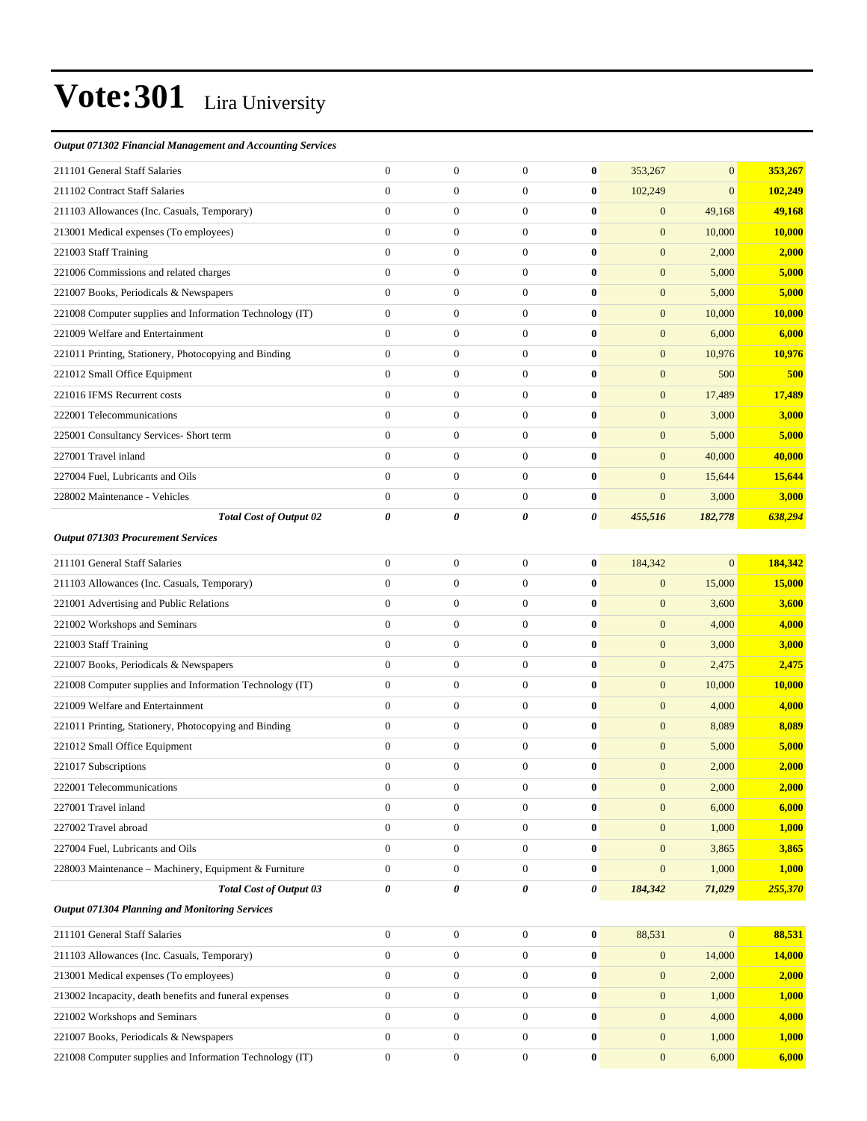#### *Output 071302 Financial Management and Accounting Services*

| 211101 General Staff Salaries                            | $\mathbf{0}$     | $\boldsymbol{0}$ | $\boldsymbol{0}$ | $\bf{0}$ | 353,267          | $\mathbf{0}$ | 353,267       |
|----------------------------------------------------------|------------------|------------------|------------------|----------|------------------|--------------|---------------|
| 211102 Contract Staff Salaries                           | $\overline{0}$   | $\boldsymbol{0}$ | $\mathbf{0}$     | $\bf{0}$ | 102,249          | $\mathbf{0}$ | 102,249       |
| 211103 Allowances (Inc. Casuals, Temporary)              | $\mathbf{0}$     | $\boldsymbol{0}$ | $\mathbf{0}$     | $\bf{0}$ | $\boldsymbol{0}$ | 49,168       | 49,168        |
| 213001 Medical expenses (To employees)                   | $\overline{0}$   | $\boldsymbol{0}$ | $\mathbf{0}$     | $\bf{0}$ | $\boldsymbol{0}$ | 10,000       | <b>10,000</b> |
| 221003 Staff Training                                    | $\overline{0}$   | $\boldsymbol{0}$ | $\mathbf{0}$     | $\bf{0}$ | $\boldsymbol{0}$ | 2,000        | 2,000         |
| 221006 Commissions and related charges                   | $\overline{0}$   | $\boldsymbol{0}$ | $\boldsymbol{0}$ | $\bf{0}$ | $\boldsymbol{0}$ | 5,000        | 5,000         |
| 221007 Books, Periodicals & Newspapers                   | $\overline{0}$   | $\boldsymbol{0}$ | $\mathbf{0}$     | $\bf{0}$ | $\mathbf{0}$     | 5,000        | 5,000         |
| 221008 Computer supplies and Information Technology (IT) | $\mathbf{0}$     | $\boldsymbol{0}$ | $\mathbf{0}$     | $\bf{0}$ | $\mathbf{0}$     | 10,000       | 10,000        |
| 221009 Welfare and Entertainment                         | $\overline{0}$   | $\boldsymbol{0}$ | $\mathbf{0}$     | $\bf{0}$ | $\boldsymbol{0}$ | 6,000        | 6,000         |
| 221011 Printing, Stationery, Photocopying and Binding    | $\overline{0}$   | $\boldsymbol{0}$ | $\mathbf{0}$     | $\bf{0}$ | $\boldsymbol{0}$ | 10,976       | 10,976        |
| 221012 Small Office Equipment                            | $\overline{0}$   | $\boldsymbol{0}$ | $\mathbf{0}$     | $\bf{0}$ | $\boldsymbol{0}$ | 500          | 500           |
| 221016 IFMS Recurrent costs                              | $\overline{0}$   | $\boldsymbol{0}$ | $\mathbf{0}$     | $\bf{0}$ | $\boldsymbol{0}$ | 17,489       | 17,489        |
| 222001 Telecommunications                                | $\overline{0}$   | $\boldsymbol{0}$ | $\mathbf{0}$     | $\bf{0}$ | $\boldsymbol{0}$ | 3,000        | 3,000         |
| 225001 Consultancy Services- Short term                  | $\overline{0}$   | $\boldsymbol{0}$ | $\mathbf{0}$     | $\bf{0}$ | $\boldsymbol{0}$ | 5,000        | 5,000         |
| 227001 Travel inland                                     | $\overline{0}$   | $\boldsymbol{0}$ | $\mathbf{0}$     | $\bf{0}$ | $\boldsymbol{0}$ | 40,000       | 40,000        |
| 227004 Fuel, Lubricants and Oils                         | $\overline{0}$   | $\boldsymbol{0}$ | $\mathbf{0}$     | $\bf{0}$ | $\boldsymbol{0}$ | 15,644       | 15,644        |
| 228002 Maintenance - Vehicles                            | $\boldsymbol{0}$ | $\boldsymbol{0}$ | $\mathbf{0}$     | $\bf{0}$ | $\mathbf{0}$     | 3,000        | 3,000         |
| <b>Total Cost of Output 02</b>                           | 0                | 0                | 0                | 0        | 455,516          | 182,778      | 638,294       |
| <b>Output 071303 Procurement Services</b>                |                  |                  |                  |          |                  |              |               |
| 211101 General Staff Salaries                            | $\boldsymbol{0}$ | $\boldsymbol{0}$ | $\mathbf{0}$     | $\bf{0}$ | 184,342          | $\mathbf{0}$ | 184,342       |
| 211103 Allowances (Inc. Casuals, Temporary)              | $\overline{0}$   | $\boldsymbol{0}$ | $\mathbf{0}$     | $\bf{0}$ | $\boldsymbol{0}$ | 15,000       | 15,000        |
| 221001 Advertising and Public Relations                  | $\overline{0}$   | $\boldsymbol{0}$ | $\mathbf{0}$     | $\bf{0}$ | $\boldsymbol{0}$ | 3,600        | 3,600         |
| 221002 Workshops and Seminars                            | $\overline{0}$   | $\boldsymbol{0}$ | $\mathbf{0}$     | $\bf{0}$ | $\mathbf{0}$     | 4,000        | 4,000         |
| 221003 Staff Training                                    | $\overline{0}$   | $\boldsymbol{0}$ | $\mathbf{0}$     | $\bf{0}$ | $\mathbf{0}$     | 3,000        | 3,000         |
| 221007 Books, Periodicals & Newspapers                   | $\overline{0}$   | $\boldsymbol{0}$ | $\mathbf{0}$     | $\bf{0}$ | $\boldsymbol{0}$ | 2,475        | 2,475         |
| 221008 Computer supplies and Information Technology (IT) | $\boldsymbol{0}$ | $\boldsymbol{0}$ | $\mathbf{0}$     | $\bf{0}$ | $\boldsymbol{0}$ | 10,000       | 10,000        |
| 221009 Welfare and Entertainment                         | $\boldsymbol{0}$ | $\boldsymbol{0}$ | $\mathbf{0}$     | $\bf{0}$ | $\boldsymbol{0}$ | 4,000        | 4,000         |
| 221011 Printing, Stationery, Photocopying and Binding    | $\overline{0}$   | $\boldsymbol{0}$ | $\mathbf{0}$     | $\bf{0}$ | $\mathbf{0}$     | 8,089        | 8,089         |
| 221012 Small Office Equipment                            | $\overline{0}$   | $\boldsymbol{0}$ | $\mathbf{0}$     | $\bf{0}$ | $\boldsymbol{0}$ | 5,000        | 5,000         |
| 221017 Subscriptions                                     | $\mathbf{0}$     | $\boldsymbol{0}$ | $\boldsymbol{0}$ | $\bf{0}$ | $\boldsymbol{0}$ | 2,000        | 2,000         |
| 222001 Telecommunications                                | $\Omega$         | $\Omega$         | $\Omega$         | 0        | $\overline{0}$   | 2,000        | 2,000         |
| 227001 Travel inland                                     | $\boldsymbol{0}$ | $\boldsymbol{0}$ | $\mathbf{0}$     | $\bf{0}$ | $\boldsymbol{0}$ | 6,000        | 6,000         |
| 227002 Travel abroad                                     | $\overline{0}$   | $\boldsymbol{0}$ | $\mathbf{0}$     | $\bf{0}$ | $\mathbf{0}$     | 1,000        | 1,000         |
| 227004 Fuel, Lubricants and Oils                         | $\overline{0}$   | $\boldsymbol{0}$ | $\boldsymbol{0}$ | $\bf{0}$ | $\mathbf{0}$     | 3,865        | 3,865         |
| 228003 Maintenance – Machinery, Equipment & Furniture    | $\boldsymbol{0}$ | $\boldsymbol{0}$ | $\mathbf{0}$     | $\bf{0}$ | $\boldsymbol{0}$ | 1,000        | <b>1,000</b>  |
| Total Cost of Output 03                                  | 0                | 0                | 0                | 0        | 184,342          | 71,029       | 255,370       |
| <b>Output 071304 Planning and Monitoring Services</b>    |                  |                  |                  |          |                  |              |               |
| 211101 General Staff Salaries                            | $\overline{0}$   | $\boldsymbol{0}$ | $\mathbf{0}$     | $\bf{0}$ | 88,531           | $\mathbf{0}$ | 88,531        |
| 211103 Allowances (Inc. Casuals, Temporary)              | $\mathbf{0}$     | $\boldsymbol{0}$ | $\mathbf{0}$     | $\bf{0}$ | $\mathbf{0}$     | 14,000       | 14,000        |
| 213001 Medical expenses (To employees)                   | $\boldsymbol{0}$ | $\boldsymbol{0}$ | $\boldsymbol{0}$ | $\bf{0}$ | $\boldsymbol{0}$ | 2,000        | 2,000         |
| 213002 Incapacity, death benefits and funeral expenses   | $\boldsymbol{0}$ | $\boldsymbol{0}$ | $\boldsymbol{0}$ | $\bf{0}$ | $\mathbf{0}$     | 1,000        | 1,000         |
| 221002 Workshops and Seminars                            | $\overline{0}$   | $\boldsymbol{0}$ | $\mathbf{0}$     | $\bf{0}$ | $\mathbf{0}$     | 4,000        | 4,000         |
| 221007 Books, Periodicals & Newspapers                   | $\mathbf{0}$     | $\boldsymbol{0}$ | $\mathbf{0}$     | $\bf{0}$ | $\boldsymbol{0}$ | 1,000        | 1,000         |
| 221008 Computer supplies and Information Technology (IT) | $\boldsymbol{0}$ | $\boldsymbol{0}$ | $\boldsymbol{0}$ | $\bf{0}$ | $\boldsymbol{0}$ | 6,000        | 6,000         |
|                                                          |                  |                  |                  |          |                  |              |               |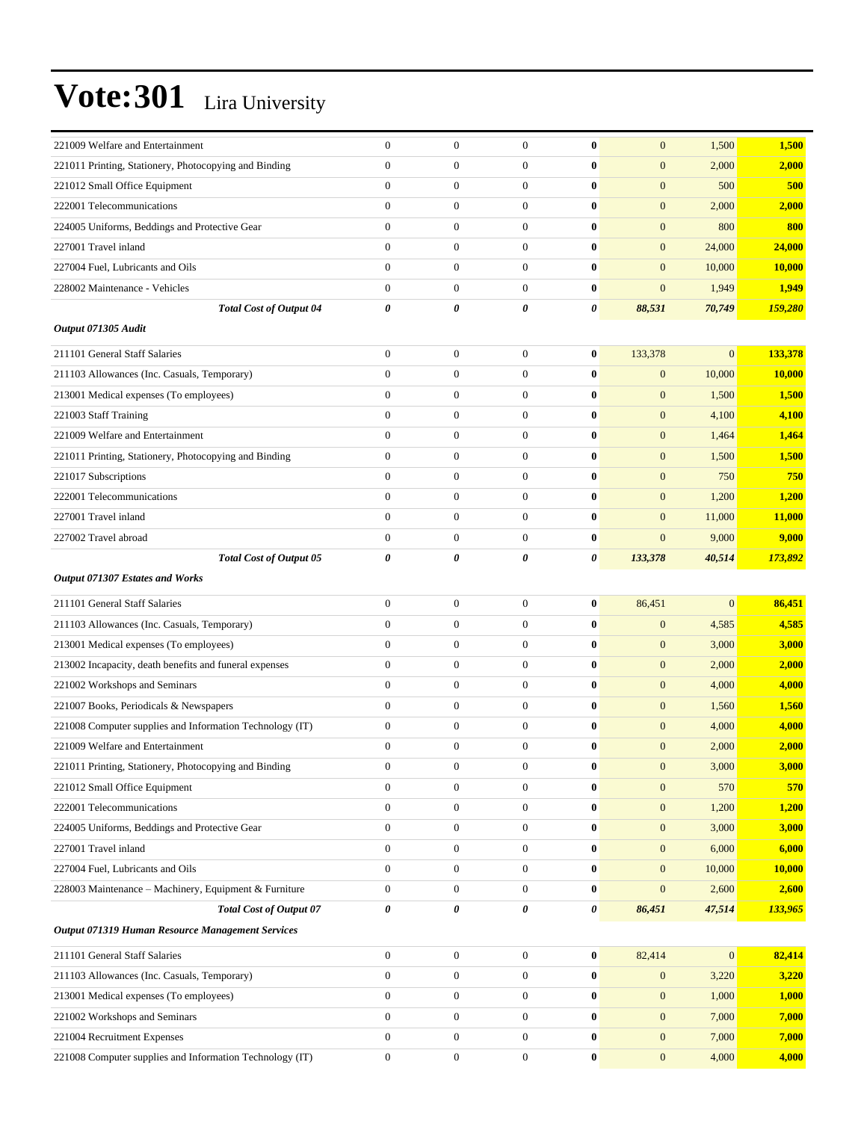| 221009 Welfare and Entertainment                         | $\mathbf{0}$          | $\boldsymbol{0}$ | $\mathbf{0}$     | $\bf{0}$         | $\mathbf{0}$     | 1,500            | 1,500         |
|----------------------------------------------------------|-----------------------|------------------|------------------|------------------|------------------|------------------|---------------|
| 221011 Printing, Stationery, Photocopying and Binding    | $\mathbf{0}$          | $\boldsymbol{0}$ | $\boldsymbol{0}$ | $\bf{0}$         | $\boldsymbol{0}$ | 2,000            | 2,000         |
| 221012 Small Office Equipment                            | $\mathbf{0}$          | $\boldsymbol{0}$ | $\boldsymbol{0}$ | $\bf{0}$         | $\mathbf{0}$     | 500              | 500           |
| 222001 Telecommunications                                | $\overline{0}$        | $\boldsymbol{0}$ | $\boldsymbol{0}$ | $\bf{0}$         | $\mathbf{0}$     | 2,000            | 2,000         |
| 224005 Uniforms, Beddings and Protective Gear            | $\overline{0}$        | $\boldsymbol{0}$ | $\overline{0}$   | $\bf{0}$         | $\mathbf{0}$     | 800              | 800           |
| 227001 Travel inland                                     | $\overline{0}$        | $\boldsymbol{0}$ | $\boldsymbol{0}$ | $\bf{0}$         | $\mathbf{0}$     | 24,000           | 24,000        |
| 227004 Fuel, Lubricants and Oils                         | $\mathbf{0}$          | $\boldsymbol{0}$ | $\boldsymbol{0}$ | $\bf{0}$         | $\mathbf{0}$     | 10,000           | 10,000        |
| 228002 Maintenance - Vehicles                            | $\mathbf{0}$          | $\boldsymbol{0}$ | $\boldsymbol{0}$ | $\bf{0}$         | $\mathbf{0}$     | 1,949            | 1,949         |
| <b>Total Cost of Output 04</b>                           | $\boldsymbol{\theta}$ | 0                | 0                | 0                | 88,531           | 70,749           | 159,280       |
| Output 071305 Audit                                      |                       |                  |                  |                  |                  |                  |               |
| 211101 General Staff Salaries                            | $\boldsymbol{0}$      | $\boldsymbol{0}$ | $\mathbf{0}$     | $\bf{0}$         | 133,378          | $\mathbf{0}$     | 133,378       |
| 211103 Allowances (Inc. Casuals, Temporary)              | $\overline{0}$        | $\boldsymbol{0}$ | $\overline{0}$   | $\bf{0}$         | $\mathbf{0}$     | 10,000           | 10,000        |
| 213001 Medical expenses (To employees)                   | $\mathbf{0}$          | $\boldsymbol{0}$ | $\boldsymbol{0}$ | $\bf{0}$         | $\mathbf{0}$     | 1,500            | 1,500         |
| 221003 Staff Training                                    | $\mathbf{0}$          | $\boldsymbol{0}$ | $\boldsymbol{0}$ | $\bf{0}$         | $\mathbf{0}$     | 4,100            | 4,100         |
| 221009 Welfare and Entertainment                         | $\overline{0}$        | $\boldsymbol{0}$ | $\boldsymbol{0}$ | $\bf{0}$         | $\mathbf{0}$     | 1,464            | 1,464         |
| 221011 Printing, Stationery, Photocopying and Binding    | $\overline{0}$        | $\boldsymbol{0}$ | $\boldsymbol{0}$ | $\bf{0}$         | $\mathbf{0}$     | 1,500            | 1,500         |
| 221017 Subscriptions                                     | $\overline{0}$        | $\boldsymbol{0}$ | $\boldsymbol{0}$ | $\bf{0}$         | $\mathbf{0}$     | 750              | 750           |
| 222001 Telecommunications                                | $\mathbf{0}$          | $\boldsymbol{0}$ | $\boldsymbol{0}$ | $\bf{0}$         | $\mathbf{0}$     | 1,200            | 1,200         |
| 227001 Travel inland                                     | $\mathbf{0}$          | $\boldsymbol{0}$ | $\boldsymbol{0}$ | $\bf{0}$         | $\mathbf{0}$     | 11,000           | 11,000        |
| 227002 Travel abroad                                     | $\boldsymbol{0}$      | $\boldsymbol{0}$ | $\boldsymbol{0}$ | $\bf{0}$         | $\mathbf{0}$     | 9,000            | 9,000         |
| Total Cost of Output 05                                  | 0                     | 0                | 0                | 0                | 133,378          | 40,514           | 173,892       |
| Output 071307 Estates and Works                          |                       |                  |                  |                  |                  |                  |               |
| 211101 General Staff Salaries                            | $\mathbf{0}$          | $\boldsymbol{0}$ | $\boldsymbol{0}$ | $\bf{0}$         | 86,451           | $\boldsymbol{0}$ | 86,451        |
| 211103 Allowances (Inc. Casuals, Temporary)              | $\mathbf{0}$          | $\boldsymbol{0}$ | $\boldsymbol{0}$ | $\bf{0}$         | $\boldsymbol{0}$ | 4,585            | 4,585         |
| 213001 Medical expenses (To employees)                   | $\mathbf{0}$          | $\boldsymbol{0}$ | $\boldsymbol{0}$ | $\bf{0}$         | $\mathbf{0}$     | 3,000            | 3,000         |
| 213002 Incapacity, death benefits and funeral expenses   | $\overline{0}$        | $\boldsymbol{0}$ | $\boldsymbol{0}$ | $\bf{0}$         | $\mathbf{0}$     | 2,000            | 2,000         |
| 221002 Workshops and Seminars                            | $\overline{0}$        | $\boldsymbol{0}$ | $\boldsymbol{0}$ | $\bf{0}$         | $\mathbf{0}$     | 4,000            | 4,000         |
| 221007 Books, Periodicals & Newspapers                   | $\overline{0}$        | $\boldsymbol{0}$ | $\boldsymbol{0}$ | $\bf{0}$         | $\mathbf{0}$     | 1,560            | 1,560         |
| 221008 Computer supplies and Information Technology (IT) | $\mathbf{0}$          | $\boldsymbol{0}$ | $\boldsymbol{0}$ | $\bf{0}$         | $\mathbf{0}$     | 4,000            | 4,000         |
| 221009 Welfare and Entertainment                         | $\mathbf{0}$          | $\boldsymbol{0}$ | $\boldsymbol{0}$ | $\bf{0}$         | $\mathbf{0}$     | 2,000            | 2,000         |
| 221011 Printing, Stationery, Photocopying and Binding    | $\boldsymbol{0}$      | $\boldsymbol{0}$ | $\boldsymbol{0}$ | $\boldsymbol{0}$ | $\boldsymbol{0}$ | 3,000            | 3,000         |
| 221012 Small Office Equipment                            | $\boldsymbol{0}$      | $\boldsymbol{0}$ | $\boldsymbol{0}$ | $\bf{0}$         | $\mathbf{0}$     | 570              | 570           |
| 222001 Telecommunications                                | $\mathbf{0}$          | $\boldsymbol{0}$ | $\boldsymbol{0}$ | $\bf{0}$         | $\mathbf{0}$     | 1,200            | 1,200         |
| 224005 Uniforms, Beddings and Protective Gear            | $\mathbf{0}$          | $\boldsymbol{0}$ | $\boldsymbol{0}$ | $\bf{0}$         | $\mathbf{0}$     | 3,000            | 3,000         |
| 227001 Travel inland                                     | $\mathbf{0}$          | $\boldsymbol{0}$ | $\boldsymbol{0}$ | $\bf{0}$         | $\mathbf{0}$     | 6,000            | 6,000         |
| 227004 Fuel, Lubricants and Oils                         | $\boldsymbol{0}$      | $\boldsymbol{0}$ | $\boldsymbol{0}$ | $\bf{0}$         | $\mathbf{0}$     | 10,000           | <b>10,000</b> |
| 228003 Maintenance - Machinery, Equipment & Furniture    | $\mathbf{0}$          | $\boldsymbol{0}$ | $\mathbf{0}$     | $\bf{0}$         | $\boldsymbol{0}$ | 2,600            | 2,600         |
| <b>Total Cost of Output 07</b>                           | $\pmb{\theta}$        | 0                | 0                | 0                | 86,451           | 47,514           | 133,965       |
| Output 071319 Human Resource Management Services         |                       |                  |                  |                  |                  |                  |               |
| 211101 General Staff Salaries                            | $\mathbf{0}$          | $\boldsymbol{0}$ | $\boldsymbol{0}$ | $\bf{0}$         | 82,414           | $\mathbf{0}$     | 82,414        |
| 211103 Allowances (Inc. Casuals, Temporary)              | $\mathbf{0}$          | $\boldsymbol{0}$ | $\boldsymbol{0}$ | $\bf{0}$         | $\mathbf{0}$     | 3,220            | 3,220         |
| 213001 Medical expenses (To employees)                   | $\mathbf{0}$          | $\boldsymbol{0}$ | $\boldsymbol{0}$ | $\bf{0}$         | $\mathbf{0}$     | 1,000            | 1,000         |
| 221002 Workshops and Seminars                            | $\mathbf{0}$          | $\boldsymbol{0}$ | $\boldsymbol{0}$ | $\bf{0}$         | $\mathbf{0}$     | 7,000            | 7,000         |
| 221004 Recruitment Expenses                              | $\mathbf{0}$          | $\boldsymbol{0}$ | $\boldsymbol{0}$ | $\bf{0}$         | $\mathbf{0}$     | 7,000            | 7,000         |
| 221008 Computer supplies and Information Technology (IT) | $\boldsymbol{0}$      | $\boldsymbol{0}$ | $\boldsymbol{0}$ | $\bf{0}$         | $\mathbf{0}$     | 4,000            | 4,000         |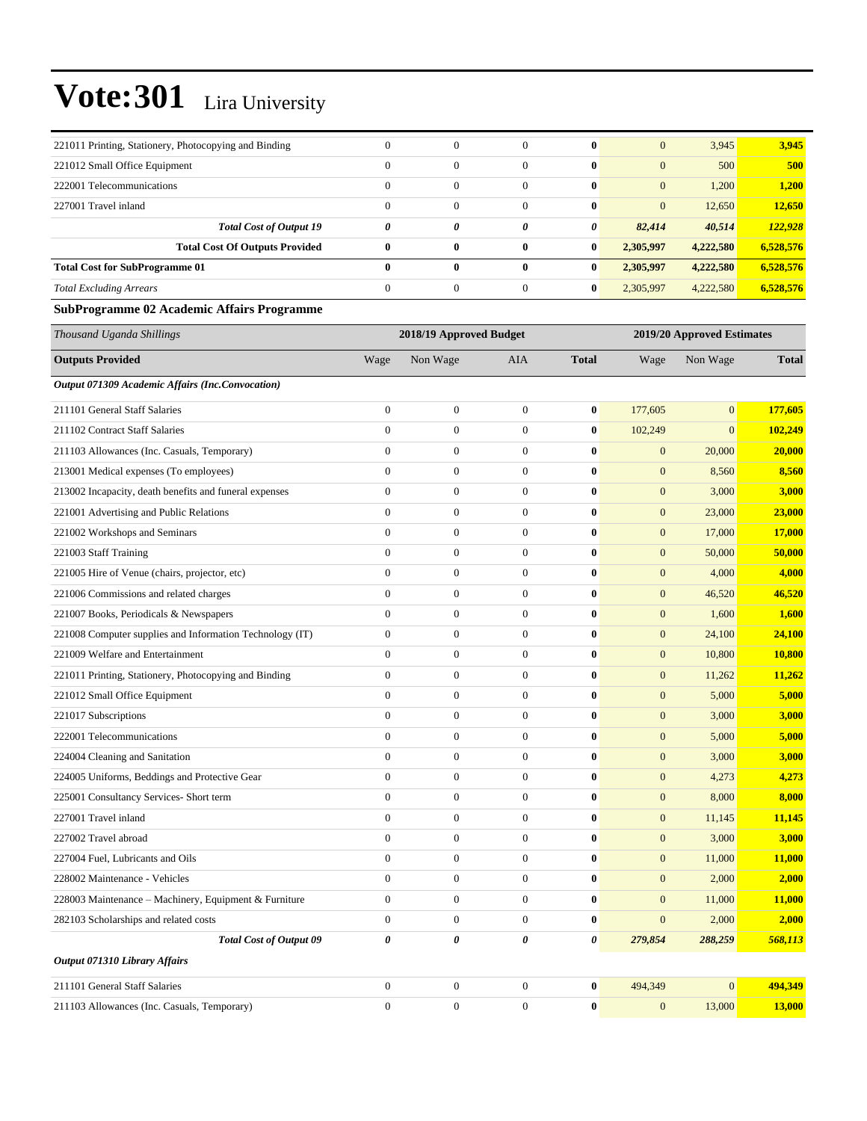| 221011 Printing, Stationery, Photocopying and Binding    | $\mathbf{0}$            | $\boldsymbol{0}$ | $\overline{0}$   | $\bf{0}$         | $\mathbf{0}$     | 3,945        | 3,945                      |  |  |
|----------------------------------------------------------|-------------------------|------------------|------------------|------------------|------------------|--------------|----------------------------|--|--|
| 221012 Small Office Equipment                            | $\mathbf{0}$            | $\boldsymbol{0}$ | $\overline{0}$   | $\bf{0}$         | $\mathbf{0}$     | 500          | 500                        |  |  |
| 222001 Telecommunications                                | $\mathbf{0}$            | $\boldsymbol{0}$ | $\overline{0}$   | $\bf{0}$         | $\mathbf{0}$     | 1,200        | 1,200                      |  |  |
| 227001 Travel inland                                     | $\mathbf{0}$            | $\boldsymbol{0}$ | $\boldsymbol{0}$ | $\bf{0}$         | $\mathbf{0}$     | 12,650       | 12,650                     |  |  |
| <b>Total Cost of Output 19</b>                           | 0                       | 0                | 0                | 0                | 82,414           | 40,514       | 122,928                    |  |  |
| <b>Total Cost Of Outputs Provided</b>                    | $\bf{0}$                | $\bf{0}$         | $\bf{0}$         | $\bf{0}$         | 2,305,997        | 4,222,580    | 6,528,576                  |  |  |
| <b>Total Cost for SubProgramme 01</b>                    | $\bf{0}$                | $\bf{0}$         | $\bf{0}$         | $\bf{0}$         | 2,305,997        | 4,222,580    | 6,528,576                  |  |  |
| <b>Total Excluding Arrears</b>                           | $\mathbf{0}$            | $\boldsymbol{0}$ | $\boldsymbol{0}$ | $\bf{0}$         | 2,305,997        | 4,222,580    | 6,528,576                  |  |  |
| <b>SubProgramme 02 Academic Affairs Programme</b>        |                         |                  |                  |                  |                  |              |                            |  |  |
| Thousand Uganda Shillings                                | 2018/19 Approved Budget |                  |                  |                  |                  |              | 2019/20 Approved Estimates |  |  |
| <b>Outputs Provided</b>                                  | Wage                    | Non Wage         | AIA              | <b>Total</b>     | Wage             | Non Wage     | <b>Total</b>               |  |  |
| Output 071309 Academic Affairs (Inc.Convocation)         |                         |                  |                  |                  |                  |              |                            |  |  |
| 211101 General Staff Salaries                            | $\boldsymbol{0}$        | $\boldsymbol{0}$ | $\mathbf{0}$     | $\bf{0}$         | 177,605          | $\mathbf{0}$ | 177,605                    |  |  |
| 211102 Contract Staff Salaries                           | $\mathbf{0}$            | $\boldsymbol{0}$ | $\boldsymbol{0}$ | $\bf{0}$         | 102,249          | $\mathbf{0}$ | 102,249                    |  |  |
| 211103 Allowances (Inc. Casuals, Temporary)              | $\mathbf{0}$            | $\boldsymbol{0}$ | $\boldsymbol{0}$ | $\bf{0}$         | $\boldsymbol{0}$ | 20,000       | 20,000                     |  |  |
| 213001 Medical expenses (To employees)                   | $\theta$                | $\boldsymbol{0}$ | $\boldsymbol{0}$ | $\bf{0}$         | $\boldsymbol{0}$ | 8,560        | 8,560                      |  |  |
| 213002 Incapacity, death benefits and funeral expenses   | $\mathbf{0}$            | $\boldsymbol{0}$ | $\overline{0}$   | $\bf{0}$         | $\mathbf{0}$     | 3,000        | 3,000                      |  |  |
| 221001 Advertising and Public Relations                  | $\mathbf{0}$            | $\boldsymbol{0}$ | $\overline{0}$   | $\bf{0}$         | $\mathbf{0}$     | 23,000       | 23,000                     |  |  |
| 221002 Workshops and Seminars                            | $\mathbf{0}$            | $\boldsymbol{0}$ | $\boldsymbol{0}$ | $\bf{0}$         | $\mathbf{0}$     | 17,000       | 17,000                     |  |  |
| 221003 Staff Training                                    | $\mathbf{0}$            | $\boldsymbol{0}$ | $\overline{0}$   | $\bf{0}$         | $\mathbf{0}$     | 50,000       | 50,000                     |  |  |
| 221005 Hire of Venue (chairs, projector, etc)            | $\theta$                | $\boldsymbol{0}$ | $\boldsymbol{0}$ | $\bf{0}$         | $\mathbf{0}$     | 4,000        | 4,000                      |  |  |
| 221006 Commissions and related charges                   | $\mathbf{0}$            | $\boldsymbol{0}$ | $\overline{0}$   | $\bf{0}$         | $\mathbf{0}$     | 46,520       | 46,520                     |  |  |
| 221007 Books, Periodicals & Newspapers                   | $\mathbf{0}$            | $\boldsymbol{0}$ | $\boldsymbol{0}$ | $\bf{0}$         | $\mathbf{0}$     | 1,600        | 1,600                      |  |  |
| 221008 Computer supplies and Information Technology (IT) | $\boldsymbol{0}$        | $\boldsymbol{0}$ | $\boldsymbol{0}$ | $\bf{0}$         | $\mathbf{0}$     | 24,100       | 24,100                     |  |  |
| 221009 Welfare and Entertainment                         | $\mathbf{0}$            | $\boldsymbol{0}$ | $\overline{0}$   | $\bf{0}$         | $\mathbf{0}$     | 10,800       | <b>10,800</b>              |  |  |
| 221011 Printing, Stationery, Photocopying and Binding    | $\theta$                | $\boldsymbol{0}$ | $\boldsymbol{0}$ | $\bf{0}$         | $\mathbf{0}$     | 11,262       | 11,262                     |  |  |
| 221012 Small Office Equipment                            | $\mathbf{0}$            | $\boldsymbol{0}$ | $\overline{0}$   | $\bf{0}$         | $\mathbf{0}$     | 5,000        | 5,000                      |  |  |
| 221017 Subscriptions                                     | $\theta$                | $\boldsymbol{0}$ | $\boldsymbol{0}$ | $\bf{0}$         | $\mathbf{0}$     | 3,000        | 3,000                      |  |  |
| 222001 Telecommunications                                | $\boldsymbol{0}$        | $\boldsymbol{0}$ | $\mathbf{0}$     | $\bf{0}$         | $\mathbf{0}$     | 5,000        | 5,000                      |  |  |
| 224004 Cleaning and Sanitation                           | $\mathbf{0}$            | $\overline{0}$   | $\overline{0}$   | $\bf{0}$         | $\mathbf{0}$     | 3,000        | 3,000                      |  |  |
| 224005 Uniforms, Beddings and Protective Gear            | $\boldsymbol{0}$        | $\boldsymbol{0}$ | $\mathbf{0}$     | $\bf{0}$         | $\mathbf{0}$     | 4,273        | 4,273                      |  |  |
| 225001 Consultancy Services- Short term                  | $\boldsymbol{0}$        | $\boldsymbol{0}$ | $\boldsymbol{0}$ | $\bf{0}$         | $\mathbf{0}$     | 8,000        | 8,000                      |  |  |
| 227001 Travel inland                                     | $\boldsymbol{0}$        | $\boldsymbol{0}$ | $\boldsymbol{0}$ | $\boldsymbol{0}$ | $\boldsymbol{0}$ | 11,145       | 11,145                     |  |  |
| 227002 Travel abroad                                     | $\mathbf{0}$            | $\boldsymbol{0}$ | $\boldsymbol{0}$ | $\bf{0}$         | $\mathbf{0}$     | 3,000        | 3,000                      |  |  |
| 227004 Fuel, Lubricants and Oils                         | $\boldsymbol{0}$        | $\boldsymbol{0}$ | $\boldsymbol{0}$ | $\boldsymbol{0}$ | $\boldsymbol{0}$ | 11,000       | 11,000                     |  |  |
| 228002 Maintenance - Vehicles                            | $\boldsymbol{0}$        | $\boldsymbol{0}$ | $\boldsymbol{0}$ | $\bf{0}$         | $\mathbf{0}$     | 2,000        | 2,000                      |  |  |
| 228003 Maintenance - Machinery, Equipment & Furniture    | $\boldsymbol{0}$        | $\boldsymbol{0}$ | $\boldsymbol{0}$ | $\bf{0}$         | $\mathbf{0}$     | 11,000       | 11,000                     |  |  |
| 282103 Scholarships and related costs                    | $\mathbf{0}$            | $\boldsymbol{0}$ | $\boldsymbol{0}$ | $\bf{0}$         | $\mathbf{0}$     | 2,000        | 2,000                      |  |  |
| <b>Total Cost of Output 09</b>                           | $\pmb{\theta}$          | 0                | 0                | 0                | 279,854          | 288,259      | 568,113                    |  |  |
| Output 071310 Library Affairs                            |                         |                  |                  |                  |                  |              |                            |  |  |
| 211101 General Staff Salaries                            | $\mathbf{0}$            | $\boldsymbol{0}$ | $\boldsymbol{0}$ | $\bf{0}$         | 494,349          | $\mathbf{0}$ | 494,349                    |  |  |
| 211103 Allowances (Inc. Casuals, Temporary)              | $\boldsymbol{0}$        | $\boldsymbol{0}$ | $\boldsymbol{0}$ | $\bf{0}$         | $\boldsymbol{0}$ | 13,000       | 13,000                     |  |  |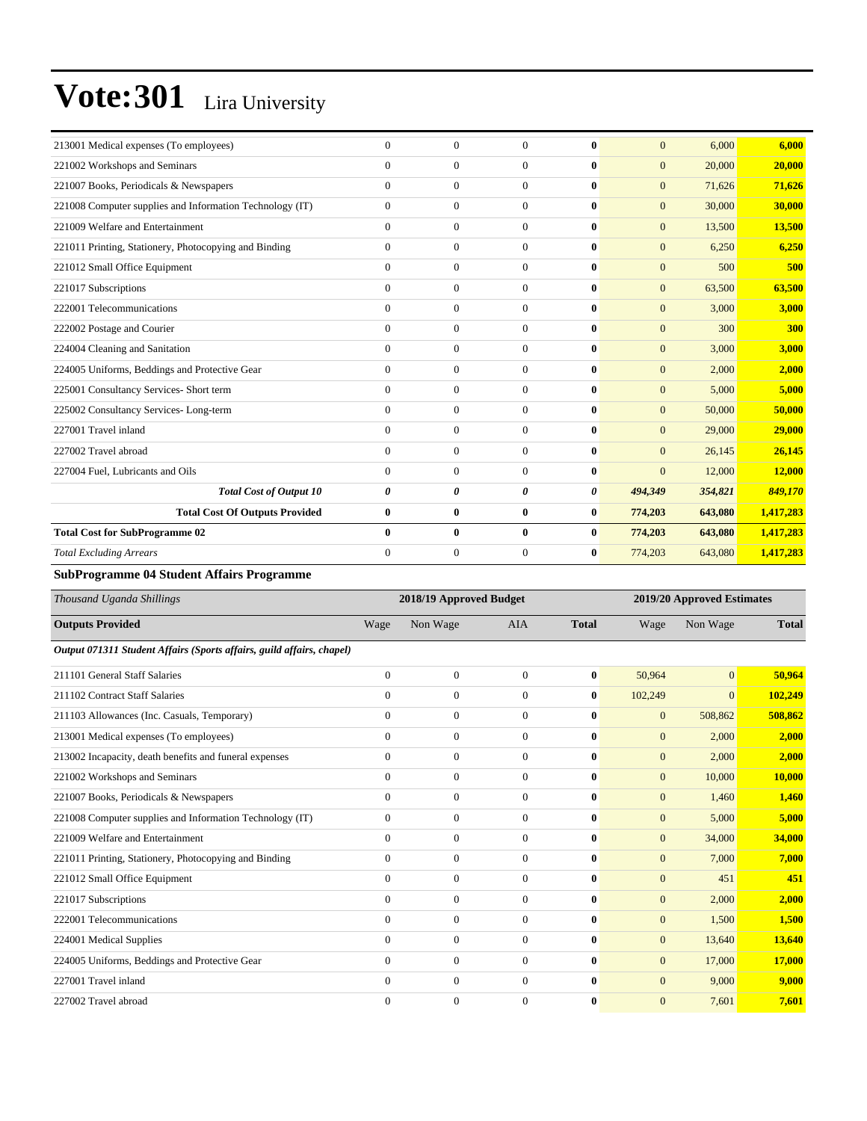| 213001 Medical expenses (To employees)                   | $\overline{0}$ | $\mathbf{0}$     | $\mathbf{0}$ | $\bf{0}$     | $\overline{0}$ | 6,000   | 6,000      |
|----------------------------------------------------------|----------------|------------------|--------------|--------------|----------------|---------|------------|
| 221002 Workshops and Seminars                            | $\Omega$       | $\overline{0}$   | $\mathbf{0}$ | $\mathbf{0}$ | $\overline{0}$ | 20,000  | 20,000     |
| 221007 Books, Periodicals & Newspapers                   | $\Omega$       | $\overline{0}$   | $\Omega$     | $\bf{0}$     | $\overline{0}$ | 71,626  | 71,626     |
| 221008 Computer supplies and Information Technology (IT) | $\overline{0}$ | $\boldsymbol{0}$ | $\Omega$     | $\bf{0}$     | $\mathbf{0}$   | 30,000  | 30,000     |
| 221009 Welfare and Entertainment                         | $\overline{0}$ | $\overline{0}$   | $\mathbf{0}$ | $\bf{0}$     | $\mathbf{0}$   | 13,500  | 13,500     |
| 221011 Printing, Stationery, Photocopying and Binding    | $\overline{0}$ | $\overline{0}$   | $\mathbf{0}$ | $\bf{0}$     | $\mathbf{0}$   | 6,250   | 6,250      |
| 221012 Small Office Equipment                            | $\Omega$       | $\overline{0}$   | $\mathbf{0}$ | $\bf{0}$     | $\mathbf{0}$   | 500     | 500        |
| 221017 Subscriptions                                     | $\overline{0}$ | $\overline{0}$   | $\mathbf{0}$ | $\bf{0}$     | $\overline{0}$ | 63,500  | 63,500     |
| 222001 Telecommunications                                | $\overline{0}$ | $\mathbf{0}$     | $\Omega$     | $\mathbf{0}$ | $\mathbf{0}$   | 3,000   | 3,000      |
| 222002 Postage and Courier                               | $\overline{0}$ | $\mathbf{0}$     | $\mathbf{0}$ | $\bf{0}$     | $\overline{0}$ | 300     | <b>300</b> |
| 224004 Cleaning and Sanitation                           | $\Omega$       | $\mathbf{0}$     | $\mathbf{0}$ | $\bf{0}$     | $\overline{0}$ | 3,000   | 3,000      |
| 224005 Uniforms, Beddings and Protective Gear            | $\overline{0}$ | $\mathbf{0}$     | $\Omega$     | $\bf{0}$     | $\overline{0}$ | 2,000   | 2,000      |
| 225001 Consultancy Services- Short term                  | $\overline{0}$ | $\mathbf{0}$     | $\mathbf{0}$ | $\bf{0}$     | $\overline{0}$ | 5,000   | 5,000      |
| 225002 Consultancy Services-Long-term                    | $\overline{0}$ | $\mathbf{0}$     | $\mathbf{0}$ | $\mathbf{0}$ | $\mathbf{0}$   | 50,000  | 50,000     |
| 227001 Travel inland                                     | $\overline{0}$ | $\mathbf{0}$     | $\mathbf{0}$ | $\bf{0}$     | $\overline{0}$ | 29,000  | 29,000     |
| 227002 Travel abroad                                     | $\Omega$       | $\overline{0}$   | $\mathbf{0}$ | $\bf{0}$     | $\mathbf{0}$   | 26,145  | 26,145     |
| 227004 Fuel, Lubricants and Oils                         | $\Omega$       | $\overline{0}$   | $\mathbf{0}$ | $\bf{0}$     | $\overline{0}$ | 12,000  | 12,000     |
| <b>Total Cost of Output 10</b>                           | 0              | 0                | 0            | 0            | 494,349        | 354,821 | 849,170    |
| <b>Total Cost Of Outputs Provided</b>                    | $\bf{0}$       | $\bf{0}$         | $\bf{0}$     | $\bf{0}$     | 774,203        | 643,080 | 1,417,283  |
| <b>Total Cost for SubProgramme 02</b>                    | $\mathbf{0}$   | $\bf{0}$         | $\mathbf{0}$ | $\bf{0}$     | 774,203        | 643,080 | 1,417,283  |
| <b>Total Excluding Arrears</b>                           | $\Omega$       | $\mathbf{0}$     | $\Omega$     | 0            | 774,203        | 643,080 | 1,417,283  |
|                                                          |                |                  |              |              |                |         |            |

#### **SubProgramme 04 Student Affairs Programme**

| Thousand Uganda Shillings                                             |                | 2018/19 Approved Budget |              |              |                  | 2019/20 Approved Estimates |              |  |
|-----------------------------------------------------------------------|----------------|-------------------------|--------------|--------------|------------------|----------------------------|--------------|--|
| <b>Outputs Provided</b>                                               | Wage           | Non Wage                | <b>AIA</b>   | <b>Total</b> | Wage             | Non Wage                   | <b>Total</b> |  |
| Output 071311 Student Affairs (Sports affairs, guild affairs, chapel) |                |                         |              |              |                  |                            |              |  |
| 211101 General Staff Salaries                                         | $\overline{0}$ | $\overline{0}$          | $\Omega$     | $\bf{0}$     | 50,964           | $\overline{0}$             | 50,964       |  |
| 211102 Contract Staff Salaries                                        | $\Omega$       | $\overline{0}$          | $\Omega$     | $\bf{0}$     | 102,249          | $\Omega$                   | 102,249      |  |
| 211103 Allowances (Inc. Casuals, Temporary)                           | $\overline{0}$ | $\overline{0}$          | $\mathbf{0}$ | $\bf{0}$     | $\overline{0}$   | 508,862                    | 508,862      |  |
| 213001 Medical expenses (To employees)                                | $\Omega$       | $\overline{0}$          | $\Omega$     | $\bf{0}$     | $\overline{0}$   | 2,000                      | 2,000        |  |
| 213002 Incapacity, death benefits and funeral expenses                | $\overline{0}$ | $\overline{0}$          | $\Omega$     | $\mathbf{0}$ | $\mathbf{0}$     | 2,000                      | 2,000        |  |
| 221002 Workshops and Seminars                                         | $\overline{0}$ | $\boldsymbol{0}$        | $\mathbf{0}$ | $\bf{0}$     | $\mathbf{0}$     | 10,000                     | 10,000       |  |
| 221007 Books, Periodicals & Newspapers                                | $\Omega$       | $\overline{0}$          | $\Omega$     | $\mathbf{0}$ | $\mathbf{0}$     | 1,460                      | 1,460        |  |
| 221008 Computer supplies and Information Technology (IT)              | $\Omega$       | $\mathbf{0}$            | $\Omega$     | $\bf{0}$     | $\mathbf{0}$     | 5,000                      | 5,000        |  |
| 221009 Welfare and Entertainment                                      | $\Omega$       | $\overline{0}$          | $\Omega$     | $\mathbf{0}$ | $\mathbf{0}$     | 34,000                     | 34,000       |  |
| 221011 Printing, Stationery, Photocopying and Binding                 | $\overline{0}$ | $\mathbf{0}$            | $\mathbf{0}$ | $\bf{0}$     | $\overline{0}$   | 7,000                      | 7,000        |  |
| 221012 Small Office Equipment                                         | $\overline{0}$ | $\mathbf{0}$            | $\mathbf{0}$ | $\bf{0}$     | $\boldsymbol{0}$ | 451                        | 451          |  |
| 221017 Subscriptions                                                  | $\overline{0}$ | $\mathbf{0}$            | $\mathbf{0}$ | $\mathbf{0}$ | $\mathbf{0}$     | 2,000                      | 2,000        |  |
| 222001 Telecommunications                                             | $\overline{0}$ | $\overline{0}$          | $\mathbf{0}$ | $\mathbf{0}$ | $\overline{0}$   | 1,500                      | 1,500        |  |
| 224001 Medical Supplies                                               | $\Omega$       | $\mathbf{0}$            | $\Omega$     | $\mathbf{0}$ | $\overline{0}$   | 13,640                     | 13,640       |  |
| 224005 Uniforms, Beddings and Protective Gear                         | $\Omega$       | $\mathbf{0}$            | $\Omega$     | $\bf{0}$     | $\overline{0}$   | 17,000                     | 17,000       |  |
| 227001 Travel inland                                                  | $\overline{0}$ | $\mathbf{0}$            | $\mathbf{0}$ | $\bf{0}$     | $\overline{0}$   | 9,000                      | 9,000        |  |
| 227002 Travel abroad                                                  | $\Omega$       | $\overline{0}$          | $\mathbf{0}$ | $\bf{0}$     | $\overline{0}$   | 7,601                      | 7,601        |  |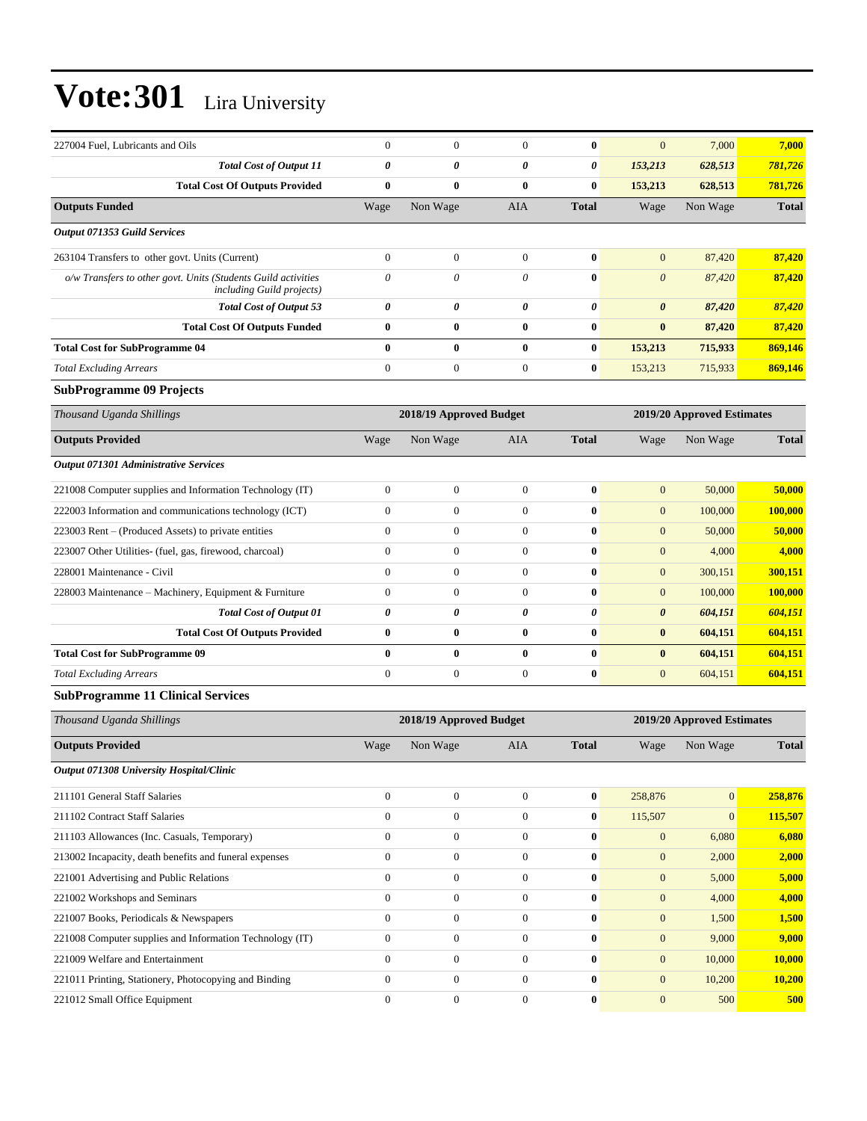| 227004 Fuel, Lubricants and Oils                                                           | $\theta$              | $\boldsymbol{0}$        | $\overline{0}$   | $\bf{0}$              | $\mathbf{0}$          | 7,000                      | 7,000         |
|--------------------------------------------------------------------------------------------|-----------------------|-------------------------|------------------|-----------------------|-----------------------|----------------------------|---------------|
| <b>Total Cost of Output 11</b>                                                             | $\boldsymbol{\theta}$ | 0                       | 0                | 0                     | 153,213               | 628,513                    | 781,726       |
| <b>Total Cost Of Outputs Provided</b>                                                      | $\bf{0}$              | $\bf{0}$                | $\bf{0}$         | $\bf{0}$              | 153,213               | 628,513                    | 781,726       |
| <b>Outputs Funded</b>                                                                      | Wage                  | Non Wage                | <b>AIA</b>       | <b>Total</b>          | Wage                  | Non Wage                   | <b>Total</b>  |
| Output 071353 Guild Services                                                               |                       |                         |                  |                       |                       |                            |               |
| 263104 Transfers to other govt. Units (Current)                                            | $\mathbf{0}$          | $\boldsymbol{0}$        | $\boldsymbol{0}$ | $\bf{0}$              | $\mathbf{0}$          | 87,420                     | 87,420        |
| o/w Transfers to other govt. Units (Students Guild activities<br>including Guild projects) | $\theta$              | 0                       | 0                | $\bf{0}$              | $\boldsymbol{0}$      | 87,420                     | 87,420        |
| <b>Total Cost of Output 53</b>                                                             | $\pmb{\theta}$        | 0                       | 0                | $\pmb{\theta}$        | $\boldsymbol{\theta}$ | 87,420                     | 87,420        |
| <b>Total Cost Of Outputs Funded</b>                                                        | $\bf{0}$              | $\bf{0}$                | $\bf{0}$         | $\bf{0}$              | $\bf{0}$              | 87,420                     | 87,420        |
| <b>Total Cost for SubProgramme 04</b>                                                      | $\bf{0}$              | $\bf{0}$                | $\bf{0}$         | $\bf{0}$              | 153,213               | 715,933                    | 869,146       |
| <b>Total Excluding Arrears</b>                                                             | $\mathbf{0}$          | $\boldsymbol{0}$        | $\boldsymbol{0}$ | $\bf{0}$              | 153,213               | 715,933                    | 869,146       |
| <b>SubProgramme 09 Projects</b>                                                            |                       |                         |                  |                       |                       |                            |               |
| Thousand Uganda Shillings                                                                  |                       | 2018/19 Approved Budget |                  |                       |                       | 2019/20 Approved Estimates |               |
| <b>Outputs Provided</b>                                                                    | Wage                  | Non Wage                | AIA              | <b>Total</b>          | Wage                  | Non Wage                   | <b>Total</b>  |
| Output 071301 Administrative Services                                                      |                       |                         |                  |                       |                       |                            |               |
| 221008 Computer supplies and Information Technology (IT)                                   | $\boldsymbol{0}$      | $\boldsymbol{0}$        | $\mathbf{0}$     | $\bf{0}$              | $\mathbf{0}$          | 50,000                     | 50,000        |
| 222003 Information and communications technology (ICT)                                     | $\mathbf{0}$          | $\boldsymbol{0}$        | $\overline{0}$   | $\bf{0}$              | $\mathbf{0}$          | 100,000                    | 100,000       |
| 223003 Rent – (Produced Assets) to private entities                                        | $\mathbf{0}$          | $\boldsymbol{0}$        | $\overline{0}$   | $\bf{0}$              | $\mathbf{0}$          | 50,000                     | 50,000        |
| 223007 Other Utilities- (fuel, gas, firewood, charcoal)                                    | $\mathbf{0}$          | $\boldsymbol{0}$        | $\boldsymbol{0}$ | $\bf{0}$              | $\mathbf{0}$          | 4,000                      | 4,000         |
| 228001 Maintenance - Civil                                                                 | $\mathbf{0}$          | $\boldsymbol{0}$        | $\overline{0}$   | $\bf{0}$              | $\mathbf{0}$          | 300,151                    | 300,151       |
| 228003 Maintenance – Machinery, Equipment & Furniture                                      | $\boldsymbol{0}$      | $\boldsymbol{0}$        | $\boldsymbol{0}$ | $\bf{0}$              | $\mathbf{0}$          | 100,000                    | 100,000       |
| <b>Total Cost of Output 01</b>                                                             | $\pmb{\theta}$        | 0                       | 0                | $\boldsymbol{\theta}$ | $\boldsymbol{\theta}$ | 604,151                    | 604,151       |
| <b>Total Cost Of Outputs Provided</b>                                                      | $\bf{0}$              | $\bf{0}$                | $\bf{0}$         | $\bf{0}$              | $\bf{0}$              | 604,151                    | 604,151       |
| <b>Total Cost for SubProgramme 09</b>                                                      | $\bf{0}$              | $\bf{0}$                | $\bf{0}$         | $\bf{0}$              | $\bf{0}$              | 604,151                    | 604,151       |
| <b>Total Excluding Arrears</b>                                                             | $\mathbf{0}$          | $\boldsymbol{0}$        | $\overline{0}$   | $\bf{0}$              | $\mathbf{0}$          | 604,151                    | 604,151       |
| <b>SubProgramme 11 Clinical Services</b>                                                   |                       |                         |                  |                       |                       |                            |               |
| Thousand Uganda Shillings                                                                  |                       | 2018/19 Approved Budget |                  |                       |                       | 2019/20 Approved Estimates |               |
| <b>Outputs Provided</b>                                                                    | Wage                  | Non Wage                | AIA              | <b>Total</b>          | Wage                  | Non Wage                   | <b>Total</b>  |
| Output 071308 University Hospital/Clinic                                                   |                       |                         |                  |                       |                       |                            |               |
| 211101 General Staff Salaries                                                              | $\mathbf{0}$          | $\boldsymbol{0}$        | $\boldsymbol{0}$ | $\bf{0}$              | 258,876               | $\mathbf{0}$               | 258,876       |
| 211102 Contract Staff Salaries                                                             | $\boldsymbol{0}$      | $\boldsymbol{0}$        | $\boldsymbol{0}$ | $\bf{0}$              | 115,507               | $\mathbf{0}$               | 115,507       |
| 211103 Allowances (Inc. Casuals, Temporary)                                                | $\mathbf{0}$          | $\boldsymbol{0}$        | $\boldsymbol{0}$ | $\bf{0}$              | $\mathbf{0}$          | 6,080                      | 6,080         |
| 213002 Incapacity, death benefits and funeral expenses                                     | $\mathbf{0}$          | $\boldsymbol{0}$        | $\overline{0}$   | $\bf{0}$              | $\mathbf{0}$          | 2,000                      | 2,000         |
| 221001 Advertising and Public Relations                                                    | $\overline{0}$        | $\boldsymbol{0}$        | $\overline{0}$   | $\bf{0}$              | $\boldsymbol{0}$      | 5,000                      | 5,000         |
| 221002 Workshops and Seminars                                                              | $\mathbf{0}$          | $\boldsymbol{0}$        | $\overline{0}$   | $\bf{0}$              | $\mathbf{0}$          | 4,000                      | 4,000         |
| 221007 Books, Periodicals & Newspapers                                                     | $\boldsymbol{0}$      | $\boldsymbol{0}$        | $\boldsymbol{0}$ | $\bf{0}$              | $\mathbf{0}$          | 1,500                      | 1,500         |
| 221008 Computer supplies and Information Technology (IT)                                   | $\mathbf{0}$          | $\boldsymbol{0}$        | $\boldsymbol{0}$ | $\bf{0}$              | $\mathbf{0}$          | 9,000                      | 9,000         |
| 221009 Welfare and Entertainment                                                           | $\mathbf{0}$          | $\boldsymbol{0}$        | $\overline{0}$   | $\bf{0}$              | $\mathbf{0}$          | 10,000                     | 10,000        |
| 221011 Printing, Stationery, Photocopying and Binding                                      | $\overline{0}$        | $\boldsymbol{0}$        | $\overline{0}$   | $\bf{0}$              | $\boldsymbol{0}$      | 10,200                     | <b>10,200</b> |
| 221012 Small Office Equipment                                                              | $\boldsymbol{0}$      | $\boldsymbol{0}$        | $\boldsymbol{0}$ | $\bf{0}$              | $\mathbf{0}$          | 500                        | 500           |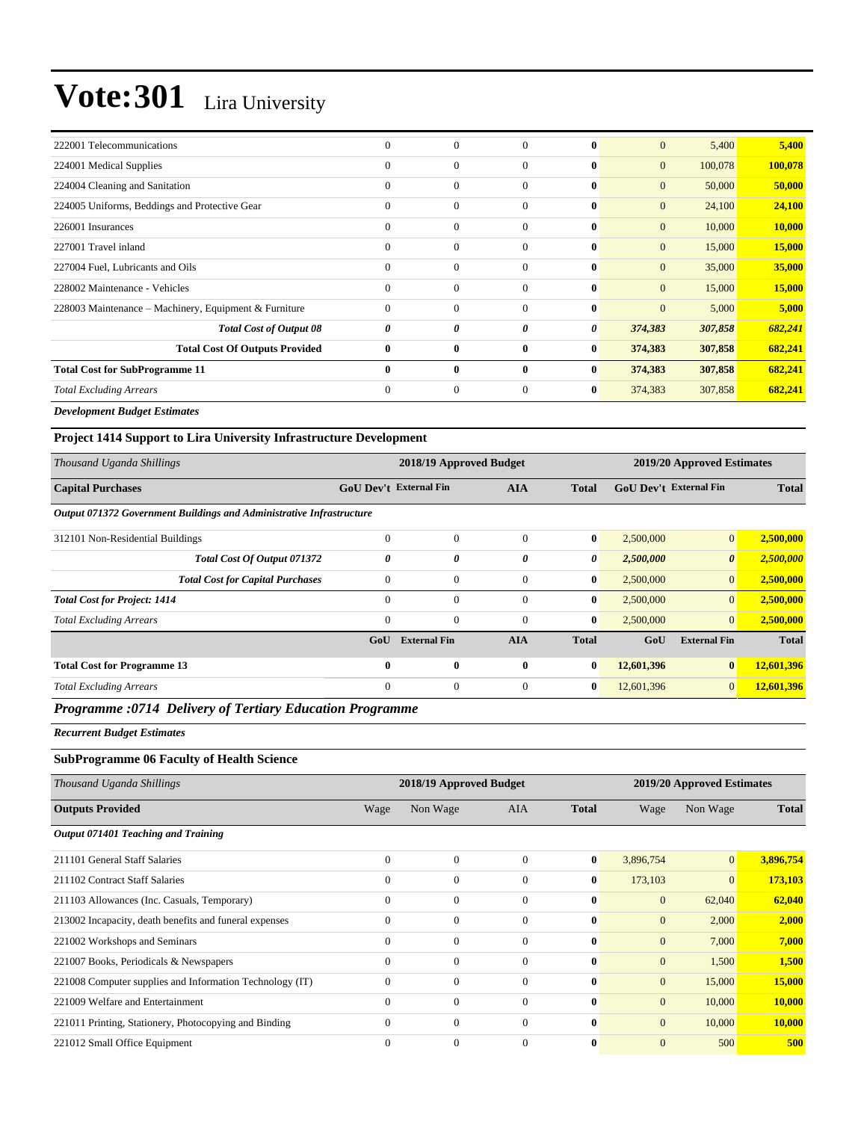| 222001 Telecommunications                             | $\mathbf{0}$ | $\mathbf{0}$     | $\Omega$     | $\mathbf{0}$ | $\mathbf{0}$ | 5,400   | 5,400   |
|-------------------------------------------------------|--------------|------------------|--------------|--------------|--------------|---------|---------|
| 224001 Medical Supplies                               | $\Omega$     | $\Omega$         | $\Omega$     | $\mathbf{0}$ | $\mathbf{0}$ | 100,078 | 100,078 |
| 224004 Cleaning and Sanitation                        | $\mathbf{0}$ | $\boldsymbol{0}$ | $\Omega$     | $\bf{0}$     | $\mathbf{0}$ | 50,000  | 50,000  |
| 224005 Uniforms, Beddings and Protective Gear         | $\mathbf{0}$ | $\overline{0}$   | $\Omega$     | $\bf{0}$     | $\mathbf{0}$ | 24,100  | 24,100  |
| 226001 Insurances                                     | $\Omega$     | $\boldsymbol{0}$ | $\Omega$     | $\mathbf{0}$ | $\mathbf{0}$ | 10,000  | 10,000  |
| 227001 Travel inland                                  | $\Omega$     | $\Omega$         | $\Omega$     | $\mathbf{0}$ | $\mathbf{0}$ | 15,000  | 15,000  |
| 227004 Fuel, Lubricants and Oils                      | $\Omega$     | $\Omega$         | $\theta$     | $\mathbf{0}$ | $\mathbf{0}$ | 35,000  | 35,000  |
| 228002 Maintenance - Vehicles                         | $\theta$     | $\overline{0}$   | $\Omega$     | $\bf{0}$     | $\mathbf{0}$ | 15,000  | 15,000  |
| 228003 Maintenance – Machinery, Equipment & Furniture | $\mathbf{0}$ | $\mathbf{0}$     | $\theta$     | $\bf{0}$     | $\mathbf{0}$ | 5,000   | 5,000   |
| <b>Total Cost of Output 08</b>                        | 0            | 0                | 0            | 0            | 374,383      | 307,858 | 682,241 |
| <b>Total Cost Of Outputs Provided</b>                 | $\bf{0}$     | $\bf{0}$         | $\bf{0}$     | $\bf{0}$     | 374,383      | 307,858 | 682,241 |
| <b>Total Cost for SubProgramme 11</b>                 | $\mathbf{0}$ | $\mathbf{0}$     | $\mathbf{0}$ | $\mathbf{0}$ | 374,383      | 307,858 | 682,241 |
| <b>Total Excluding Arrears</b>                        | $\mathbf{0}$ | $\mathbf{0}$     | $\theta$     | $\bf{0}$     | 374,383      | 307,858 | 682,241 |

*Development Budget Estimates*

| <b>Project 1414 Support to Lira University Infrastructure Development</b> |                               |                         |              |              |                               |                       |              |  |
|---------------------------------------------------------------------------|-------------------------------|-------------------------|--------------|--------------|-------------------------------|-----------------------|--------------|--|
| Thousand Uganda Shillings                                                 |                               | 2018/19 Approved Budget |              |              | 2019/20 Approved Estimates    |                       |              |  |
| <b>Capital Purchases</b>                                                  | <b>GoU Dev't External Fin</b> |                         | <b>AIA</b>   | <b>Total</b> | <b>GoU Dev't External Fin</b> |                       | <b>Total</b> |  |
| Output 071372 Government Buildings and Administrative Infrastructure      |                               |                         |              |              |                               |                       |              |  |
| 312101 Non-Residential Buildings                                          | $\Omega$                      | $\mathbf{0}$            | $\Omega$     | $\bf{0}$     | 2,500,000                     | $\mathbf{0}$          | 2,500,000    |  |
| Total Cost Of Output 071372                                               | 0                             | 0                       | 0            | 0            | 2,500,000                     | $\boldsymbol{\theta}$ | 2,500,000    |  |
| <b>Total Cost for Capital Purchases</b>                                   | $\Omega$                      | $\mathbf{0}$            | $\Omega$     | $\bf{0}$     | 2,500,000                     | $\mathbf{0}$          | 2,500,000    |  |
| <b>Total Cost for Project: 1414</b>                                       | $\Omega$                      | $\mathbf{0}$            | $\Omega$     | $\mathbf{0}$ | 2,500,000                     | $\overline{0}$        | 2,500,000    |  |
| <b>Total Excluding Arrears</b>                                            | $\overline{0}$                | $\mathbf{0}$            | $\Omega$     | $\bf{0}$     | 2,500,000                     | $\mathbf{0}$          | 2,500,000    |  |
|                                                                           | GoU                           | <b>External Fin</b>     | <b>AIA</b>   | <b>Total</b> | GoU                           | <b>External Fin</b>   | <b>Total</b> |  |
| <b>Total Cost for Programme 13</b>                                        | 0                             | $\bf{0}$                | $\mathbf{0}$ | $\mathbf{0}$ | 12,601,396                    | $\bf{0}$              | 12,601,396   |  |
| <b>Total Excluding Arrears</b>                                            | $\mathbf{0}$                  | $\mathbf{0}$            | $\Omega$     | $\bf{0}$     | 12,601,396                    | $\mathbf{0}$          | 12,601,396   |  |

#### *Programme :0714 Delivery of Tertiary Education Programme*

*Recurrent Budget Estimates*

#### **SubProgramme 06 Faculty of Health Science**

| Thousand Uganda Shillings                                |                | 2018/19 Approved Budget |              |              | 2019/20 Approved Estimates |                |              |
|----------------------------------------------------------|----------------|-------------------------|--------------|--------------|----------------------------|----------------|--------------|
| <b>Outputs Provided</b>                                  | Wage           | Non Wage                | <b>AIA</b>   | <b>Total</b> | Wage                       | Non Wage       | <b>Total</b> |
| Output 071401 Teaching and Training                      |                |                         |              |              |                            |                |              |
| 211101 General Staff Salaries                            | $\overline{0}$ | $\mathbf{0}$            | $\Omega$     | $\bf{0}$     | 3,896,754                  | $\mathbf{0}$   | 3,896,754    |
| 211102 Contract Staff Salaries                           | $\mathbf{0}$   | $\mathbf{0}$            | $\Omega$     | $\bf{0}$     | 173,103                    | $\overline{0}$ | 173,103      |
| 211103 Allowances (Inc. Casuals, Temporary)              | $\Omega$       | $\mathbf{0}$            | $\Omega$     | $\mathbf{0}$ | $\mathbf{0}$               | 62,040         | 62,040       |
| 213002 Incapacity, death benefits and funeral expenses   | $\theta$       | $\mathbf{0}$            | $\mathbf{0}$ | $\mathbf{0}$ | $\mathbf{0}$               | 2,000          | 2,000        |
| 221002 Workshops and Seminars                            | $\mathbf{0}$   | $\mathbf{0}$            | $\mathbf{0}$ | $\mathbf{0}$ | $\mathbf{0}$               | 7,000          | 7,000        |
| 221007 Books, Periodicals & Newspapers                   | $\Omega$       | $\mathbf{0}$            | $\Omega$     | $\mathbf{0}$ | $\mathbf{0}$               | 1,500          | 1,500        |
| 221008 Computer supplies and Information Technology (IT) | $\Omega$       | $\mathbf{0}$            | $\Omega$     | $\mathbf{0}$ | $\mathbf{0}$               | 15,000         | 15,000       |
| 221009 Welfare and Entertainment                         | $\Omega$       | $\mathbf{0}$            | $\Omega$     | $\mathbf{0}$ | $\mathbf{0}$               | 10,000         | 10,000       |
| 221011 Printing, Stationery, Photocopying and Binding    | $\mathbf{0}$   | $\mathbf{0}$            | $\mathbf{0}$ | $\bf{0}$     | $\mathbf{0}$               | 10,000         | 10,000       |
| 221012 Small Office Equipment                            | $\Omega$       | $\mathbf{0}$            | $\Omega$     | $\bf{0}$     | $\mathbf{0}$               | 500            | 500          |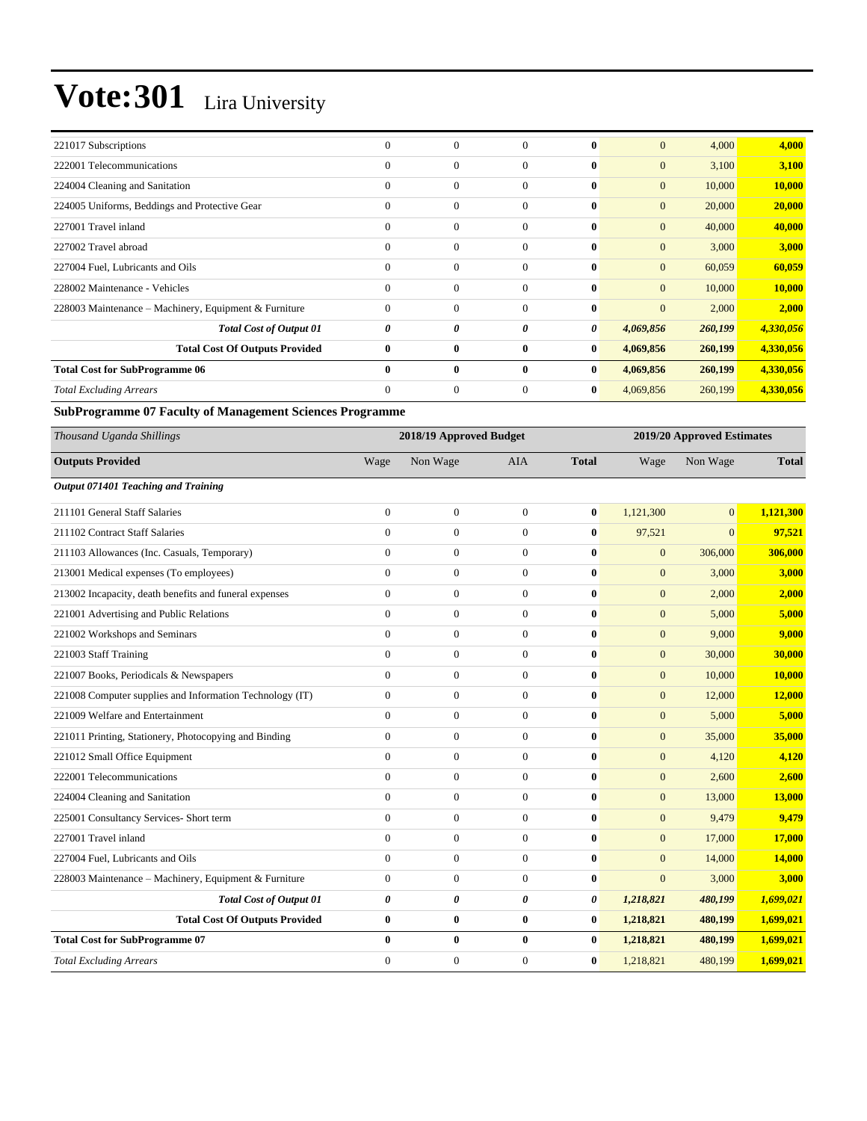| 221017 Subscriptions                                  | $\mathbf{0}$ | $\mathbf{0}$   | $\Omega$     | $\mathbf{0}$ | $\mathbf{0}$   | 4,000   | 4,000     |
|-------------------------------------------------------|--------------|----------------|--------------|--------------|----------------|---------|-----------|
| 222001 Telecommunications                             | $\mathbf{0}$ | $\mathbf{0}$   | $\mathbf{0}$ | $\mathbf{0}$ | $\mathbf{0}$   | 3,100   | 3,100     |
| 224004 Cleaning and Sanitation                        | $\Omega$     | $\overline{0}$ | $\mathbf{0}$ | $\bf{0}$     | $\mathbf{0}$   | 10,000  | 10,000    |
| 224005 Uniforms, Beddings and Protective Gear         | $\mathbf{0}$ | $\overline{0}$ | $\mathbf{0}$ | $\bf{0}$     | $\mathbf{0}$   | 20,000  | 20,000    |
| 227001 Travel inland                                  | $\Omega$     | $\mathbf{0}$   | $\Omega$     | $\bf{0}$     | $\mathbf{0}$   | 40,000  | 40,000    |
| 227002 Travel abroad                                  | $\Omega$     | $\mathbf{0}$   | $\Omega$     | $\bf{0}$     | $\mathbf{0}$   | 3,000   | 3,000     |
| 227004 Fuel, Lubricants and Oils                      | $\Omega$     | $\mathbf{0}$   | $\Omega$     | $\bf{0}$     | $\mathbf{0}$   | 60,059  | 60,059    |
| 228002 Maintenance - Vehicles                         | $\mathbf{0}$ | $\mathbf{0}$   | $\mathbf{0}$ | $\bf{0}$     | $\overline{0}$ | 10,000  | 10,000    |
| 228003 Maintenance – Machinery, Equipment & Furniture | $\mathbf{0}$ | $\mathbf{0}$   | $\mathbf{0}$ | $\bf{0}$     | $\mathbf{0}$   | 2,000   | 2,000     |
| <b>Total Cost of Output 01</b>                        | 0            | 0              | 0            | 0            | 4,069,856      | 260,199 | 4,330,056 |
| <b>Total Cost Of Outputs Provided</b>                 | $\bf{0}$     | $\bf{0}$       | $\bf{0}$     | $\bf{0}$     | 4,069,856      | 260,199 | 4,330,056 |
| <b>Total Cost for SubProgramme 06</b>                 | $\mathbf{0}$ | $\bf{0}$       | $\mathbf{0}$ | $\bf{0}$     | 4,069,856      | 260,199 | 4,330,056 |
| <b>Total Excluding Arrears</b>                        | $\Omega$     | $\theta$       | $\Omega$     | $\bf{0}$     | 4,069,856      | 260,199 | 4,330,056 |

**SubProgramme 07 Faculty of Management Sciences Programme**

| Thousand Uganda Shillings                                |                | 2018/19 Approved Budget |                  |              |                | 2019/20 Approved Estimates |              |  |
|----------------------------------------------------------|----------------|-------------------------|------------------|--------------|----------------|----------------------------|--------------|--|
| <b>Outputs Provided</b>                                  | Wage           | Non Wage                | <b>AIA</b>       | <b>Total</b> | Wage           | Non Wage                   | <b>Total</b> |  |
| Output 071401 Teaching and Training                      |                |                         |                  |              |                |                            |              |  |
| 211101 General Staff Salaries                            | $\mathbf{0}$   | $\boldsymbol{0}$        | $\theta$         | $\bf{0}$     | 1,121,300      | $\overline{0}$             | 1,121,300    |  |
| 211102 Contract Staff Salaries                           | $\overline{0}$ | $\overline{0}$          | $\theta$         | $\bf{0}$     | 97,521         | $\overline{0}$             | 97,521       |  |
| 211103 Allowances (Inc. Casuals, Temporary)              | $\overline{0}$ | $\overline{0}$          | $\theta$         | $\bf{0}$     | $\overline{0}$ | 306,000                    | 306,000      |  |
| 213001 Medical expenses (To employees)                   | $\overline{0}$ | $\boldsymbol{0}$        | $\boldsymbol{0}$ | $\bf{0}$     | $\mathbf{0}$   | 3,000                      | 3,000        |  |
| 213002 Incapacity, death benefits and funeral expenses   | $\mathbf{0}$   | $\boldsymbol{0}$        | $\overline{0}$   | $\bf{0}$     | $\mathbf{0}$   | 2,000                      | 2,000        |  |
| 221001 Advertising and Public Relations                  | $\Omega$       | $\overline{0}$          | $\Omega$         | $\bf{0}$     | $\overline{0}$ | 5,000                      | 5,000        |  |
| 221002 Workshops and Seminars                            | $\overline{0}$ | $\overline{0}$          | $\theta$         | $\bf{0}$     | $\overline{0}$ | 9,000                      | 9,000        |  |
| 221003 Staff Training                                    | $\overline{0}$ | $\boldsymbol{0}$        | $\overline{0}$   | $\bf{0}$     | $\mathbf{0}$   | 30,000                     | 30,000       |  |
| 221007 Books, Periodicals & Newspapers                   | $\overline{0}$ | $\boldsymbol{0}$        | $\mathbf{0}$     | $\bf{0}$     | $\mathbf{0}$   | 10,000                     | 10,000       |  |
| 221008 Computer supplies and Information Technology (IT) | $\overline{0}$ | $\boldsymbol{0}$        | $\theta$         | $\mathbf{0}$ | $\mathbf{0}$   | 12,000                     | 12,000       |  |
| 221009 Welfare and Entertainment                         | $\Omega$       | $\boldsymbol{0}$        | $\overline{0}$   | $\bf{0}$     | $\mathbf{0}$   | 5,000                      | 5,000        |  |
| 221011 Printing, Stationery, Photocopying and Binding    | $\overline{0}$ | $\overline{0}$          | $\theta$         | $\bf{0}$     | $\overline{0}$ | 35,000                     | 35,000       |  |
| 221012 Small Office Equipment                            | $\overline{0}$ | $\boldsymbol{0}$        | $\theta$         | $\bf{0}$     | $\mathbf{0}$   | 4,120                      | 4,120        |  |
| 222001 Telecommunications                                | $\overline{0}$ | $\boldsymbol{0}$        | $\theta$         | $\bf{0}$     | $\mathbf{0}$   | 2,600                      | 2,600        |  |
| 224004 Cleaning and Sanitation                           | $\mathbf{0}$   | $\boldsymbol{0}$        | $\theta$         | $\bf{0}$     | $\mathbf{0}$   | 13,000                     | 13,000       |  |
| 225001 Consultancy Services- Short term                  | $\overline{0}$ | $\boldsymbol{0}$        | $\theta$         | $\mathbf{0}$ | $\mathbf{0}$   | 9,479                      | 9,479        |  |
| 227001 Travel inland                                     | $\Omega$       | $\overline{0}$          | $\Omega$         | $\bf{0}$     | $\overline{0}$ | 17,000                     | 17,000       |  |
| 227004 Fuel, Lubricants and Oils                         | $\Omega$       | $\boldsymbol{0}$        | $\mathbf{0}$     | $\bf{0}$     | $\overline{0}$ | 14,000                     | 14,000       |  |
| 228003 Maintenance – Machinery, Equipment & Furniture    | $\mathbf{0}$   | $\boldsymbol{0}$        | $\theta$         | $\bf{0}$     | $\overline{0}$ | 3,000                      | 3,000        |  |
| <b>Total Cost of Output 01</b>                           | 0              | 0                       | 0                | 0            | 1,218,821      | 480,199                    | 1,699,021    |  |
| <b>Total Cost Of Outputs Provided</b>                    | $\bf{0}$       | $\bf{0}$                | $\bf{0}$         | $\bf{0}$     | 1,218,821      | 480,199                    | 1,699,021    |  |
| <b>Total Cost for SubProgramme 07</b>                    | $\bf{0}$       | $\bf{0}$                | $\bf{0}$         | $\bf{0}$     | 1,218,821      | 480,199                    | 1,699,021    |  |
| <b>Total Excluding Arrears</b>                           | $\Omega$       | $\mathbf{0}$            | $\Omega$         | $\bf{0}$     | 1,218,821      | 480,199                    | 1,699,021    |  |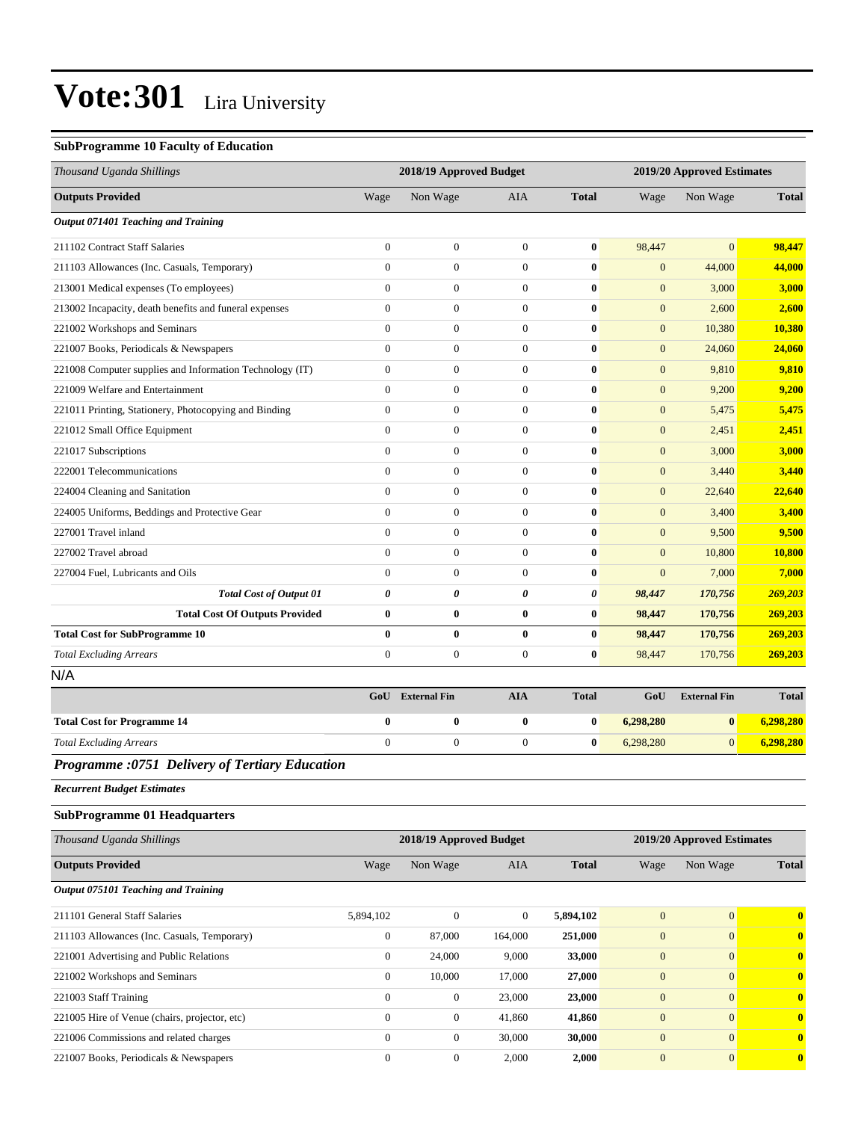#### **SubProgramme 10 Faculty of Education**

| Thousand Uganda Shillings                                |                  | 2018/19 Approved Budget |                  |              |                  | 2019/20 Approved Estimates |                         |
|----------------------------------------------------------|------------------|-------------------------|------------------|--------------|------------------|----------------------------|-------------------------|
| <b>Outputs Provided</b>                                  | Wage             | Non Wage                | <b>AIA</b>       | <b>Total</b> | Wage             | Non Wage                   | <b>Total</b>            |
| Output 071401 Teaching and Training                      |                  |                         |                  |              |                  |                            |                         |
| 211102 Contract Staff Salaries                           | $\mathbf{0}$     | $\boldsymbol{0}$        | $\overline{0}$   | $\bf{0}$     | 98,447           | $\overline{0}$             | 98,447                  |
| 211103 Allowances (Inc. Casuals, Temporary)              | $\overline{0}$   | $\boldsymbol{0}$        | $\overline{0}$   | $\bf{0}$     | $\mathbf{0}$     | 44,000                     | 44,000                  |
| 213001 Medical expenses (To employees)                   | $\overline{0}$   | $\boldsymbol{0}$        | $\boldsymbol{0}$ | $\bf{0}$     | $\mathbf{0}$     | 3,000                      | 3,000                   |
| 213002 Incapacity, death benefits and funeral expenses   | $\boldsymbol{0}$ | $\boldsymbol{0}$        | $\boldsymbol{0}$ | $\bf{0}$     | $\mathbf{0}$     | 2,600                      | 2,600                   |
| 221002 Workshops and Seminars                            | $\overline{0}$   | $\boldsymbol{0}$        | $\boldsymbol{0}$ | $\bf{0}$     | $\mathbf{0}$     | 10,380                     | 10,380                  |
| 221007 Books, Periodicals & Newspapers                   | $\overline{0}$   | $\boldsymbol{0}$        | $\overline{0}$   | $\bf{0}$     | $\mathbf{0}$     | 24,060                     | 24,060                  |
| 221008 Computer supplies and Information Technology (IT) | $\overline{0}$   | $\boldsymbol{0}$        | $\mathbf{0}$     | $\bf{0}$     | $\mathbf{0}$     | 9,810                      | 9,810                   |
| 221009 Welfare and Entertainment                         | $\overline{0}$   | $\boldsymbol{0}$        | $\boldsymbol{0}$ | $\bf{0}$     | $\mathbf{0}$     | 9,200                      | 9,200                   |
| 221011 Printing, Stationery, Photocopying and Binding    | $\mathbf{0}$     | $\boldsymbol{0}$        | $\boldsymbol{0}$ | $\bf{0}$     | $\mathbf{0}$     | 5,475                      | 5,475                   |
| 221012 Small Office Equipment                            | $\mathbf{0}$     | $\boldsymbol{0}$        | $\boldsymbol{0}$ | $\bf{0}$     | $\mathbf{0}$     | 2,451                      | 2,451                   |
| 221017 Subscriptions                                     | $\mathbf{0}$     | $\boldsymbol{0}$        | $\overline{0}$   | $\bf{0}$     | $\mathbf{0}$     | 3,000                      | 3,000                   |
| 222001 Telecommunications                                | $\mathbf{0}$     | $\boldsymbol{0}$        | $\mathbf{0}$     | $\bf{0}$     | $\mathbf{0}$     | 3,440                      | 3,440                   |
| 224004 Cleaning and Sanitation                           | $\overline{0}$   | $\boldsymbol{0}$        | $\boldsymbol{0}$ | $\bf{0}$     | $\mathbf{0}$     | 22,640                     | 22,640                  |
| 224005 Uniforms, Beddings and Protective Gear            | $\mathbf{0}$     | $\boldsymbol{0}$        | $\boldsymbol{0}$ | $\bf{0}$     | $\mathbf{0}$     | 3,400                      | 3,400                   |
| 227001 Travel inland                                     | $\overline{0}$   | $\boldsymbol{0}$        | $\boldsymbol{0}$ | $\bf{0}$     | $\mathbf{0}$     | 9,500                      | 9,500                   |
| 227002 Travel abroad                                     | $\overline{0}$   | $\mathbf{0}$            | $\overline{0}$   | $\bf{0}$     | $\mathbf{0}$     | 10,800                     | <b>10,800</b>           |
| 227004 Fuel, Lubricants and Oils                         | $\overline{0}$   | $\boldsymbol{0}$        | $\mathbf{0}$     | $\bf{0}$     | $\mathbf{0}$     | 7,000                      | 7,000                   |
| <b>Total Cost of Output 01</b>                           | 0                | 0                       | 0                | 0            | 98,447           | 170,756                    | 269,203                 |
| <b>Total Cost Of Outputs Provided</b>                    | $\bf{0}$         | $\bf{0}$                | 0                | $\bf{0}$     | 98,447           | 170,756                    | 269,203                 |
| <b>Total Cost for SubProgramme 10</b>                    | $\bf{0}$         | $\bf{0}$                | 0                | $\bf{0}$     | 98,447           | 170,756                    | 269,203                 |
| <b>Total Excluding Arrears</b>                           | $\mathbf{0}$     | $\boldsymbol{0}$        | $\overline{0}$   | $\bf{0}$     | 98,447           | 170,756                    | 269,203                 |
| N/A                                                      |                  |                         |                  |              |                  |                            |                         |
|                                                          | GoU              | <b>External Fin</b>     | <b>AIA</b>       | <b>Total</b> | GoU              | <b>External Fin</b>        | <b>Total</b>            |
| <b>Total Cost for Programme 14</b>                       | $\bf{0}$         | $\bf{0}$                | 0                | $\bf{0}$     | 6,298,280        | $\bf{0}$                   | 6,298,280               |
| <b>Total Excluding Arrears</b>                           | $\mathbf{0}$     | $\boldsymbol{0}$        | $\boldsymbol{0}$ | $\bf{0}$     | 6,298,280        | $\overline{0}$             | 6,298,280               |
| Programme :0751 Delivery of Tertiary Education           |                  |                         |                  |              |                  |                            |                         |
| <b>Recurrent Budget Estimates</b>                        |                  |                         |                  |              |                  |                            |                         |
| <b>SubProgramme 01 Headquarters</b>                      |                  |                         |                  |              |                  |                            |                         |
| Thousand Uganda Shillings                                |                  | 2018/19 Approved Budget |                  |              |                  | 2019/20 Approved Estimates |                         |
| <b>Outputs Provided</b>                                  | Wage             | Non Wage                | AIA              | <b>Total</b> | Wage             | Non Wage                   | <b>Total</b>            |
| Output 075101 Teaching and Training                      |                  |                         |                  |              |                  |                            |                         |
| 211101 General Staff Salaries                            | 5,894,102        | $\boldsymbol{0}$        | $\mathbf{0}$     | 5,894,102    | $\mathbf{0}$     | $\overline{0}$             | $\overline{\mathbf{0}}$ |
| 211103 Allowances (Inc. Casuals, Temporary)              | $\boldsymbol{0}$ | 87,000                  | 164,000          | 251,000      | $\mathbf{0}$     | $\overline{0}$             | $\mathbf{0}$            |
| 221001 Advertising and Public Relations                  | $\mathbf{0}$     | 24,000                  | 9,000            | 33,000       | $\mathbf{0}$     | $\overline{0}$             | $\mathbf{0}$            |
| 221002 Workshops and Seminars                            | $\mathbf{0}$     | 10,000                  | 17,000           | 27,000       | $\mathbf{0}$     | $\overline{0}$             | $\mathbf{0}$            |
| 221003 Staff Training                                    | $\mathbf{0}$     | $\boldsymbol{0}$        | 23,000           | 23,000       | $\mathbf{0}$     | $\overline{0}$             | $\mathbf{0}$            |
| 221005 Hire of Venue (chairs, projector, etc)            | $\mathbf{0}$     | $\boldsymbol{0}$        | 41,860           | 41,860       | $\mathbf{0}$     | $\overline{0}$             | $\mathbf{0}$            |
| 221006 Commissions and related charges                   | $\mathbf{0}$     | $\boldsymbol{0}$        | 30,000           | 30,000       | $\mathbf{0}$     | $\overline{0}$             | $\mathbf{0}$            |
| 221007 Books, Periodicals & Newspapers                   | $\boldsymbol{0}$ | $\boldsymbol{0}$        | 2,000            | 2,000        | $\boldsymbol{0}$ | $\overline{0}$             | $\mathbf{0}$            |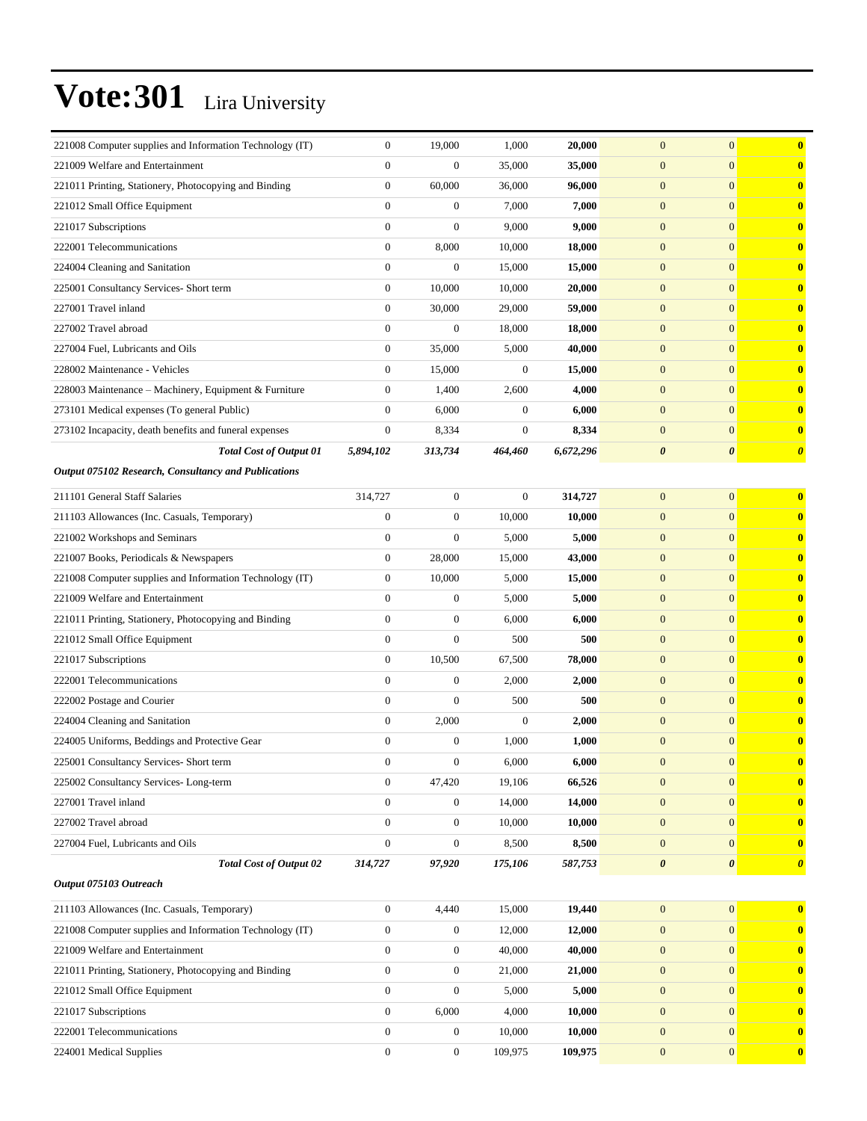| 221008 Computer supplies and Information Technology (IT) | $\boldsymbol{0}$ | 19,000           | 1,000            | 20,000    | $\boldsymbol{0}$      | $\mathbf{0}$          | $\bf{0}$              |
|----------------------------------------------------------|------------------|------------------|------------------|-----------|-----------------------|-----------------------|-----------------------|
| 221009 Welfare and Entertainment                         | $\overline{0}$   | $\boldsymbol{0}$ | 35,000           | 35,000    | $\mathbf{0}$          | $\mathbf{0}$          | $\mathbf{0}$          |
| 221011 Printing, Stationery, Photocopying and Binding    | $\boldsymbol{0}$ | 60,000           | 36,000           | 96,000    | $\boldsymbol{0}$      | $\mathbf{0}$          | $\mathbf{0}$          |
| 221012 Small Office Equipment                            | $\boldsymbol{0}$ | $\boldsymbol{0}$ | 7,000            | 7,000     | $\mathbf{0}$          | $\mathbf{0}$          | $\bf{0}$              |
| 221017 Subscriptions                                     | $\boldsymbol{0}$ | $\boldsymbol{0}$ | 9,000            | 9,000     | $\boldsymbol{0}$      | $\mathbf{0}$          | $\bf{0}$              |
| 222001 Telecommunications                                | $\boldsymbol{0}$ | 8,000            | 10,000           | 18,000    | $\boldsymbol{0}$      | $\mathbf{0}$          | $\bf{0}$              |
| 224004 Cleaning and Sanitation                           | $\overline{0}$   | $\boldsymbol{0}$ | 15,000           | 15,000    | $\mathbf{0}$          | $\mathbf{0}$          | $\mathbf{0}$          |
| 225001 Consultancy Services- Short term                  | $\boldsymbol{0}$ | 10,000           | 10,000           | 20,000    | $\boldsymbol{0}$      | $\mathbf{0}$          | $\mathbf{0}$          |
| 227001 Travel inland                                     | $\boldsymbol{0}$ | 30,000           | 29,000           | 59,000    | $\mathbf{0}$          | $\mathbf{0}$          | $\bf{0}$              |
| 227002 Travel abroad                                     | $\mathbf{0}$     | $\boldsymbol{0}$ | 18,000           | 18,000    | $\boldsymbol{0}$      | $\mathbf{0}$          | $\bf{0}$              |
| 227004 Fuel, Lubricants and Oils                         | $\boldsymbol{0}$ | 35,000           | 5,000            | 40,000    | $\boldsymbol{0}$      | $\mathbf{0}$          | $\bf{0}$              |
| 228002 Maintenance - Vehicles                            | $\boldsymbol{0}$ | 15,000           | $\boldsymbol{0}$ | 15,000    | $\mathbf{0}$          | $\mathbf{0}$          | $\mathbf{0}$          |
| 228003 Maintenance - Machinery, Equipment & Furniture    | $\boldsymbol{0}$ | 1,400            | 2,600            | 4,000     | $\boldsymbol{0}$      | $\mathbf{0}$          | $\mathbf{0}$          |
| 273101 Medical expenses (To general Public)              | $\boldsymbol{0}$ | 6,000            | $\boldsymbol{0}$ | 6,000     | $\mathbf{0}$          | $\mathbf{0}$          | $\bf{0}$              |
| 273102 Incapacity, death benefits and funeral expenses   | $\boldsymbol{0}$ | 8,334            | $\mathbf{0}$     | 8,334     | $\boldsymbol{0}$      | $\mathbf{0}$          | $\bf{0}$              |
| <b>Total Cost of Output 01</b>                           | 5,894,102        | 313,734          | 464,460          | 6,672,296 | $\boldsymbol{\theta}$ | $\boldsymbol{\theta}$ | $\boldsymbol{\theta}$ |
| Output 075102 Research, Consultancy and Publications     |                  |                  |                  |           |                       |                       |                       |
| 211101 General Staff Salaries                            | 314,727          | $\boldsymbol{0}$ | $\boldsymbol{0}$ | 314,727   | $\mathbf{0}$          | $\mathbf{0}$          | $\bf{0}$              |
| 211103 Allowances (Inc. Casuals, Temporary)              | $\boldsymbol{0}$ | $\boldsymbol{0}$ | 10,000           | 10,000    | $\boldsymbol{0}$      | $\mathbf{0}$          | $\bf{0}$              |
| 221002 Workshops and Seminars                            | $\boldsymbol{0}$ | $\boldsymbol{0}$ | 5,000            | 5,000     | $\mathbf{0}$          | $\mathbf{0}$          | $\mathbf{0}$          |
| 221007 Books, Periodicals & Newspapers                   | $\boldsymbol{0}$ | 28,000           | 15,000           | 43,000    | $\boldsymbol{0}$      | $\mathbf{0}$          | $\mathbf{0}$          |
| 221008 Computer supplies and Information Technology (IT) | 0                | 10,000           | 5,000            | 15,000    | $\boldsymbol{0}$      | $\mathbf{0}$          | $\bf{0}$              |
| 221009 Welfare and Entertainment                         | $\overline{0}$   | $\boldsymbol{0}$ | 5,000            | 5,000     | $\mathbf{0}$          | $\mathbf{0}$          | $\mathbf{0}$          |
| 221011 Printing, Stationery, Photocopying and Binding    | $\boldsymbol{0}$ | $\boldsymbol{0}$ | 6,000            | 6,000     | $\boldsymbol{0}$      | $\mathbf{0}$          | $\bf{0}$              |
| 221012 Small Office Equipment                            | $\boldsymbol{0}$ | $\boldsymbol{0}$ | 500              | 500       | $\mathbf{0}$          | $\mathbf{0}$          | $\mathbf{0}$          |
| 221017 Subscriptions                                     | $\boldsymbol{0}$ | 10,500           | 67,500           | 78,000    | $\boldsymbol{0}$      | $\mathbf{0}$          | $\mathbf{0}$          |
| 222001 Telecommunications                                | $\boldsymbol{0}$ | $\boldsymbol{0}$ | 2,000            | 2,000     | $\boldsymbol{0}$      | $\mathbf{0}$          | $\bf{0}$              |
| 222002 Postage and Courier                               | $\overline{0}$   | $\overline{0}$   | 500              | 500       | $\mathbf{0}$          | $\mathbf{0}$          | $\mathbf{0}$          |
| 224004 Cleaning and Sanitation                           | $\boldsymbol{0}$ | 2,000            | $\mathbf{0}$     | 2,000     | $\boldsymbol{0}$      | $\mathbf{0}$          | $\bf{0}$              |
| 224005 Uniforms, Beddings and Protective Gear            | $\boldsymbol{0}$ | $\boldsymbol{0}$ | 1,000            | 1,000     | $\boldsymbol{0}$      | $\mathbf{0}$          | $\mathbf{0}$          |
| 225001 Consultancy Services- Short term                  | $\mathbf{0}$     | $\mathbf{0}$     | 6,000            | 6,000     | $\overline{0}$        | $\mathbf{0}$          | $\mathbf{0}$          |
| 225002 Consultancy Services-Long-term                    | $\boldsymbol{0}$ | 47,420           | 19,106           | 66,526    | $\boldsymbol{0}$      | $\mathbf{0}$          | $\bf{0}$              |
| 227001 Travel inland                                     | $\overline{0}$   | $\boldsymbol{0}$ | 14,000           | 14,000    | $\boldsymbol{0}$      | $\mathbf{0}$          | $\mathbf{0}$          |
| 227002 Travel abroad                                     | $\boldsymbol{0}$ | $\boldsymbol{0}$ | 10,000           | 10,000    | $\boldsymbol{0}$      | $\mathbf{0}$          | $\mathbf{0}$          |
| 227004 Fuel, Lubricants and Oils                         | $\boldsymbol{0}$ | $\boldsymbol{0}$ | 8,500            | 8,500     | $\boldsymbol{0}$      | $\mathbf{0}$          | $\mathbf{0}$          |
| <b>Total Cost of Output 02</b>                           | 314,727          | 97,920           | 175,106          | 587,753   | $\boldsymbol{\theta}$ | $\boldsymbol{\theta}$ | $\boldsymbol{\theta}$ |
| Output 075103 Outreach                                   |                  |                  |                  |           |                       |                       |                       |
| 211103 Allowances (Inc. Casuals, Temporary)              | $\boldsymbol{0}$ | 4,440            | 15,000           | 19,440    | $\boldsymbol{0}$      | $\mathbf{0}$          | $\mathbf{0}$          |
| 221008 Computer supplies and Information Technology (IT) | $\boldsymbol{0}$ | $\boldsymbol{0}$ | 12,000           | 12,000    | $\mathbf{0}$          | $\mathbf{0}$          | $\mathbf{0}$          |
| 221009 Welfare and Entertainment                         | $\boldsymbol{0}$ | $\boldsymbol{0}$ | 40,000           | 40,000    | $\boldsymbol{0}$      | $\mathbf{0}$          | $\mathbf{0}$          |
| 221011 Printing, Stationery, Photocopying and Binding    | $\boldsymbol{0}$ | $\boldsymbol{0}$ | 21,000           | 21,000    | $\boldsymbol{0}$      | $\mathbf{0}$          | $\mathbf{0}$          |
| 221012 Small Office Equipment                            | $\boldsymbol{0}$ | $\boldsymbol{0}$ | 5,000            | 5,000     | $\boldsymbol{0}$      | $\mathbf{0}$          | $\mathbf{0}$          |
| 221017 Subscriptions                                     | $\boldsymbol{0}$ | 6,000            | 4,000            | 10,000    | $\boldsymbol{0}$      | $\mathbf{0}$          | $\bf{0}$              |
| 222001 Telecommunications                                | $\boldsymbol{0}$ | $\boldsymbol{0}$ | 10,000           | 10,000    | $\boldsymbol{0}$      | $\mathbf{0}$          | $\mathbf{0}$          |
| 224001 Medical Supplies                                  | $\boldsymbol{0}$ | $\boldsymbol{0}$ | 109,975          | 109,975   | $\boldsymbol{0}$      | $\mathbf{0}$          | $\mathbf{0}$          |
|                                                          |                  |                  |                  |           |                       |                       |                       |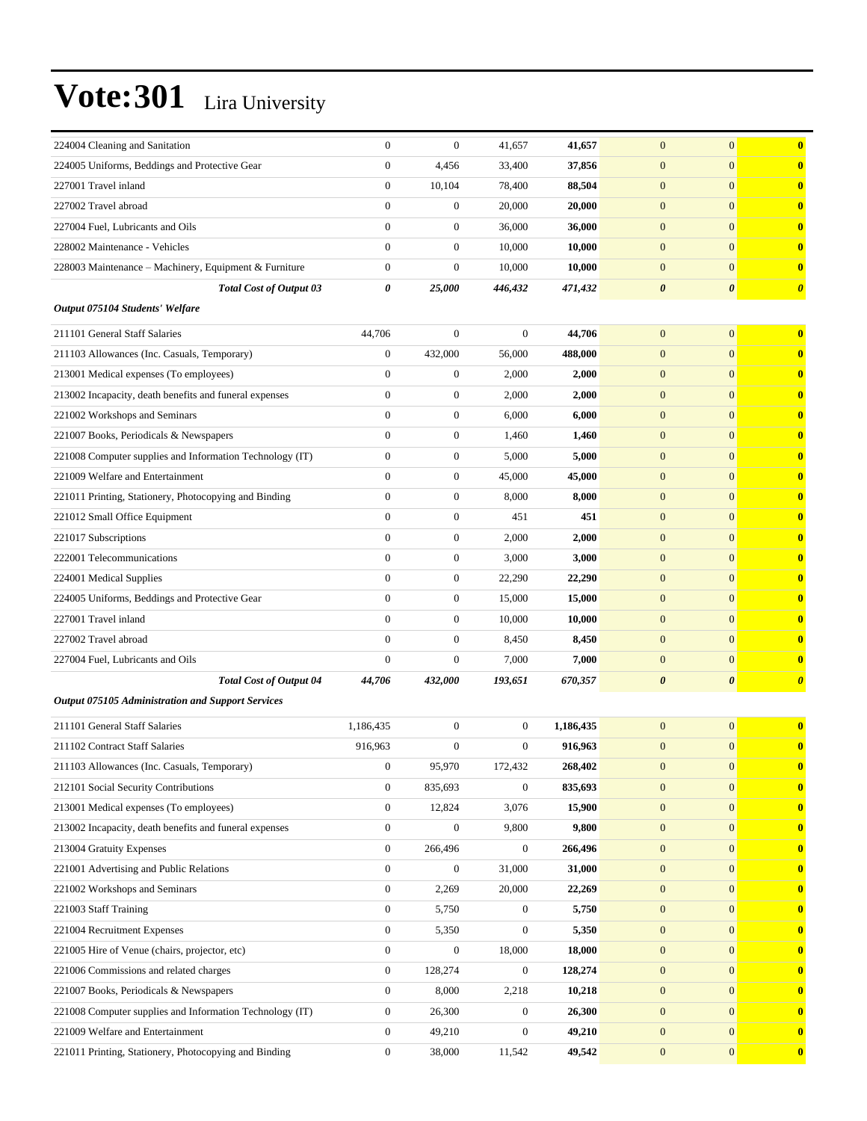| 224004 Cleaning and Sanitation                           | $\mathbf{0}$     | $\boldsymbol{0}$ | 41,657           | 41,657    | $\mathbf{0}$          | $\mathbf{0}$          | $\bf{0}$              |
|----------------------------------------------------------|------------------|------------------|------------------|-----------|-----------------------|-----------------------|-----------------------|
| 224005 Uniforms, Beddings and Protective Gear            | $\boldsymbol{0}$ | 4,456            | 33,400           | 37,856    | $\mathbf{0}$          | $\overline{0}$        | $\bf{0}$              |
| 227001 Travel inland                                     | $\mathbf{0}$     | 10,104           | 78,400           | 88,504    | $\mathbf{0}$          | $\overline{0}$        | $\bf{0}$              |
| 227002 Travel abroad                                     | $\mathbf{0}$     | $\boldsymbol{0}$ | 20,000           | 20,000    | $\mathbf{0}$          | $\overline{0}$        | $\bf{0}$              |
| 227004 Fuel, Lubricants and Oils                         | $\mathbf{0}$     | $\overline{0}$   | 36,000           | 36,000    | $\mathbf{0}$          | $\overline{0}$        | $\bf{0}$              |
| 228002 Maintenance - Vehicles                            | $\theta$         | $\boldsymbol{0}$ | 10,000           | 10,000    | $\mathbf{0}$          | $\overline{0}$        | $\bf{0}$              |
| 228003 Maintenance - Machinery, Equipment & Furniture    | $\boldsymbol{0}$ | $\boldsymbol{0}$ | 10,000           | 10,000    | $\mathbf{0}$          | $\overline{0}$        | $\bf{0}$              |
| <b>Total Cost of Output 03</b>                           | 0                | 25,000           | 446,432          | 471,432   | $\boldsymbol{\theta}$ | $\boldsymbol{\theta}$ | $\boldsymbol{\theta}$ |
| Output 075104 Students' Welfare                          |                  |                  |                  |           |                       |                       |                       |
| 211101 General Staff Salaries                            | 44,706           | $\boldsymbol{0}$ | $\boldsymbol{0}$ | 44,706    | $\mathbf{0}$          | $\overline{0}$        | $\bf{0}$              |
| 211103 Allowances (Inc. Casuals, Temporary)              | $\boldsymbol{0}$ | 432,000          | 56,000           | 488,000   | $\mathbf{0}$          | $\overline{0}$        | $\bf{0}$              |
| 213001 Medical expenses (To employees)                   | $\mathbf{0}$     | $\boldsymbol{0}$ | 2,000            | 2,000     | $\mathbf{0}$          | $\overline{0}$        | $\bf{0}$              |
| 213002 Incapacity, death benefits and funeral expenses   | $\mathbf{0}$     | $\mathbf{0}$     | 2,000            | 2,000     | $\mathbf{0}$          | $\overline{0}$        | $\bf{0}$              |
| 221002 Workshops and Seminars                            | $\mathbf{0}$     | $\boldsymbol{0}$ | 6,000            | 6,000     | $\mathbf{0}$          | $\overline{0}$        | $\bf{0}$              |
| 221007 Books, Periodicals & Newspapers                   | $\mathbf{0}$     | $\boldsymbol{0}$ | 1,460            | 1,460     | $\mathbf{0}$          | $\overline{0}$        | $\bf{0}$              |
| 221008 Computer supplies and Information Technology (IT) | $\mathbf{0}$     | $\boldsymbol{0}$ | 5,000            | 5,000     | $\mathbf{0}$          | $\overline{0}$        | $\bf{0}$              |
| 221009 Welfare and Entertainment                         | $\mathbf{0}$     | $\boldsymbol{0}$ | 45,000           | 45,000    | $\mathbf{0}$          | $\overline{0}$        | $\bf{0}$              |
| 221011 Printing, Stationery, Photocopying and Binding    | $\mathbf{0}$     | $\mathbf{0}$     | 8,000            | 8,000     | $\mathbf{0}$          | $\overline{0}$        | $\bf{0}$              |
| 221012 Small Office Equipment                            | $\mathbf{0}$     | $\boldsymbol{0}$ | 451              | 451       | $\mathbf{0}$          | $\overline{0}$        | $\bf{0}$              |
| 221017 Subscriptions                                     | $\mathbf{0}$     | $\boldsymbol{0}$ | 2,000            | 2,000     | $\mathbf{0}$          | $\overline{0}$        | $\bf{0}$              |
| 222001 Telecommunications                                | $\mathbf{0}$     | $\boldsymbol{0}$ | 3,000            | 3,000     | $\mathbf{0}$          | $\overline{0}$        | $\bf{0}$              |
| 224001 Medical Supplies                                  | $\mathbf{0}$     | $\boldsymbol{0}$ | 22,290           | 22,290    | $\mathbf{0}$          | $\overline{0}$        | $\bf{0}$              |
| 224005 Uniforms, Beddings and Protective Gear            | $\mathbf{0}$     | $\mathbf{0}$     | 15,000           | 15,000    | $\mathbf{0}$          | $\overline{0}$        | $\bf{0}$              |
| 227001 Travel inland                                     | $\mathbf{0}$     | $\boldsymbol{0}$ | 10,000           | 10,000    | $\mathbf{0}$          | $\overline{0}$        | $\bf{0}$              |
| 227002 Travel abroad                                     | $\mathbf{0}$     | $\boldsymbol{0}$ | 8,450            | 8,450     | $\mathbf{0}$          | $\overline{0}$        | $\bf{0}$              |
| 227004 Fuel, Lubricants and Oils                         | $\mathbf{0}$     | $\overline{0}$   | 7,000            | 7,000     | $\mathbf{0}$          | $\overline{0}$        | $\bf{0}$              |
| <b>Total Cost of Output 04</b>                           | 44,706           | 432,000          | 193,651          | 670,357   | $\boldsymbol{\theta}$ | $\boldsymbol{\theta}$ | $\boldsymbol{\theta}$ |
| Output 075105 Administration and Support Services        |                  |                  |                  |           |                       |                       |                       |
| 211101 General Staff Salaries                            | 1,186,435        | $\boldsymbol{0}$ | $\mathbf{0}$     | 1,186,435 | $\mathbf{0}$          | $\overline{0}$        | $\bf{0}$              |
| 211102 Contract Staff Salaries                           | 916,963          | $\boldsymbol{0}$ | 0                | 916,963   | $\boldsymbol{0}$      | $\overline{0}$        | $\bf{0}$              |
| 211103 Allowances (Inc. Casuals, Temporary)              | 0                | 95,970           | 172,432          | 268,402   | $\boldsymbol{0}$      | $\boldsymbol{0}$      | $\bf{0}$              |
| 212101 Social Security Contributions                     | $\boldsymbol{0}$ | 835,693          | $\boldsymbol{0}$ | 835,693   | $\mathbf{0}$          | $\mathbf{0}$          | $\bf{0}$              |
| 213001 Medical expenses (To employees)                   | $\boldsymbol{0}$ | 12,824           | 3,076            | 15,900    | $\mathbf{0}$          | $\overline{0}$        | $\bf{0}$              |
| 213002 Incapacity, death benefits and funeral expenses   | $\boldsymbol{0}$ | $\mathbf{0}$     | 9,800            | 9,800     | $\boldsymbol{0}$      | $\overline{0}$        | $\bf{0}$              |
| 213004 Gratuity Expenses                                 | $\mathbf{0}$     | 266,496          | $\overline{0}$   | 266,496   | $\mathbf{0}$          | $\overline{0}$        | $\bf{0}$              |
| 221001 Advertising and Public Relations                  | $\boldsymbol{0}$ | $\boldsymbol{0}$ | 31,000           | 31,000    | $\mathbf{0}$          | $\mathbf{0}$          | $\bf{0}$              |
| 221002 Workshops and Seminars                            | $\boldsymbol{0}$ | 2,269            | 20,000           | 22,269    | $\boldsymbol{0}$      | $\mathbf{0}$          | $\bf{0}$              |
| 221003 Staff Training                                    | $\boldsymbol{0}$ | 5,750            | $\boldsymbol{0}$ | 5,750     | $\boldsymbol{0}$      | $\overline{0}$        | $\bf{0}$              |
| 221004 Recruitment Expenses                              | $\boldsymbol{0}$ | 5,350            | 0                | 5,350     | $\boldsymbol{0}$      | $\overline{0}$        | $\bf{0}$              |
| 221005 Hire of Venue (chairs, projector, etc)            | $\boldsymbol{0}$ | $\boldsymbol{0}$ | 18,000           | 18,000    | $\mathbf{0}$          | $\overline{0}$        | $\bf{0}$              |
| 221006 Commissions and related charges                   | $\mathbf{0}$     | 128,274          | $\boldsymbol{0}$ | 128,274   | $\boldsymbol{0}$      | $\mathbf{0}$          | $\bf{0}$              |
| 221007 Books, Periodicals & Newspapers                   | $\bf{0}$         | 8,000            | 2,218            | 10,218    | $\mathbf{0}$          | $\mathbf{0}$          | $\bf{0}$              |
| 221008 Computer supplies and Information Technology (IT) | $\boldsymbol{0}$ | 26,300           | $\boldsymbol{0}$ | 26,300    | $\mathbf{0}$          | $\overline{0}$        | $\bf{0}$              |
| 221009 Welfare and Entertainment                         | $\boldsymbol{0}$ | 49,210           | 0                | 49,210    | $\mathbf{0}$          | $\mathbf{0}$          | $\bf{0}$              |
| 221011 Printing, Stationery, Photocopying and Binding    | $\boldsymbol{0}$ | 38,000           | 11,542           | 49,542    | $\mathbf{0}$          | $\mathbf{0}$          | $\bf{0}$              |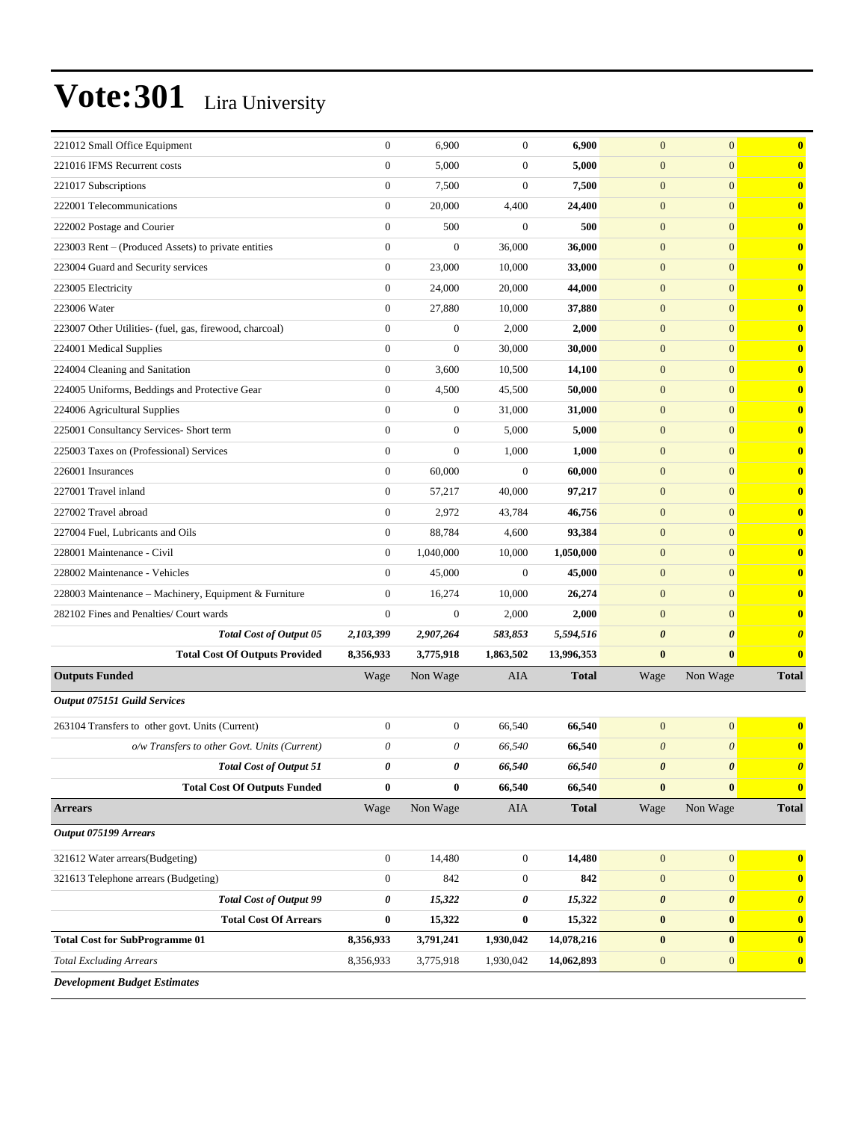| 221012 Small Office Equipment                           | $\boldsymbol{0}$ | 6,900            | $\boldsymbol{0}$ | 6,900        | $\mathbf{0}$          | $\overline{0}$ | $\bf{0}$                |
|---------------------------------------------------------|------------------|------------------|------------------|--------------|-----------------------|----------------|-------------------------|
| 221016 IFMS Recurrent costs                             | $\overline{0}$   | 5,000            | $\mathbf{0}$     | 5,000        | $\mathbf{0}$          | $\overline{0}$ | $\bf{0}$                |
| 221017 Subscriptions                                    | $\boldsymbol{0}$ | 7,500            | $\boldsymbol{0}$ | 7,500        | $\mathbf{0}$          | $\overline{0}$ | $\bf{0}$                |
| 222001 Telecommunications                               | $\overline{0}$   | 20,000           | 4,400            | 24,400       | $\mathbf{0}$          | $\overline{0}$ | $\bf{0}$                |
| 222002 Postage and Courier                              | $\overline{0}$   | 500              | $\mathbf{0}$     | 500          | $\mathbf{0}$          | $\overline{0}$ | $\bf{0}$                |
| 223003 Rent - (Produced Assets) to private entities     | $\overline{0}$   | $\overline{0}$   | 36,000           | 36,000       | $\mathbf{0}$          | $\overline{0}$ | $\bf{0}$                |
| 223004 Guard and Security services                      | $\boldsymbol{0}$ | 23,000           | 10,000           | 33,000       | $\boldsymbol{0}$      | $\overline{0}$ | $\bf{0}$                |
| 223005 Electricity                                      | $\boldsymbol{0}$ | 24,000           | 20,000           | 44,000       | $\mathbf{0}$          | $\overline{0}$ | $\bf{0}$                |
| 223006 Water                                            | $\overline{0}$   | 27,880           | 10,000           | 37,880       | $\mathbf{0}$          | $\overline{0}$ | $\bf{0}$                |
| 223007 Other Utilities- (fuel, gas, firewood, charcoal) | $\overline{0}$   | $\boldsymbol{0}$ | 2,000            | 2,000        | $\mathbf{0}$          | $\overline{0}$ | $\bf{0}$                |
| 224001 Medical Supplies                                 | $\overline{0}$   | $\boldsymbol{0}$ | 30,000           | 30,000       | $\mathbf{0}$          | $\overline{0}$ | $\bf{0}$                |
| 224004 Cleaning and Sanitation                          | $\boldsymbol{0}$ | 3,600            | 10,500           | 14,100       | $\boldsymbol{0}$      | $\overline{0}$ | $\bf{0}$                |
| 224005 Uniforms, Beddings and Protective Gear           | $\boldsymbol{0}$ | 4,500            | 45,500           | 50,000       | $\mathbf{0}$          | $\overline{0}$ | $\bf{0}$                |
| 224006 Agricultural Supplies                            | $\overline{0}$   | $\boldsymbol{0}$ | 31,000           | 31,000       | $\mathbf{0}$          | $\overline{0}$ | $\bf{0}$                |
| 225001 Consultancy Services- Short term                 | $\overline{0}$   | $\boldsymbol{0}$ | 5,000            | 5,000        | $\mathbf{0}$          | $\overline{0}$ | $\bf{0}$                |
| 225003 Taxes on (Professional) Services                 | $\overline{0}$   | $\overline{0}$   | 1,000            | 1,000        | $\mathbf{0}$          | $\overline{0}$ | $\bf{0}$                |
| 226001 Insurances                                       | $\boldsymbol{0}$ | 60,000           | $\boldsymbol{0}$ | 60,000       | $\boldsymbol{0}$      | $\overline{0}$ | $\bf{0}$                |
| 227001 Travel inland                                    | $\boldsymbol{0}$ | 57,217           | 40,000           | 97,217       | $\mathbf{0}$          | $\overline{0}$ | $\bf{0}$                |
| 227002 Travel abroad                                    | $\overline{0}$   | 2,972            | 43,784           | 46,756       | $\mathbf{0}$          | $\overline{0}$ | $\bf{0}$                |
| 227004 Fuel, Lubricants and Oils                        | $\overline{0}$   | 88,784           | 4,600            | 93,384       | $\mathbf{0}$          | $\overline{0}$ | $\bf{0}$                |
| 228001 Maintenance - Civil                              | $\mathbf{0}$     | 1,040,000        | 10,000           | 1,050,000    | $\mathbf{0}$          | $\overline{0}$ | $\bf{0}$                |
| 228002 Maintenance - Vehicles                           | $\overline{0}$   | 45,000           | $\boldsymbol{0}$ | 45,000       | $\boldsymbol{0}$      | $\overline{0}$ | $\bf{0}$                |
| 228003 Maintenance – Machinery, Equipment & Furniture   | 0                | 16,274           | 10,000           | 26,274       | $\mathbf{0}$          | $\overline{0}$ | $\bf{0}$                |
| 282102 Fines and Penalties/ Court wards                 | $\overline{0}$   | $\boldsymbol{0}$ | 2,000            | 2,000        | $\mathbf{0}$          | $\overline{0}$ | $\bf{0}$                |
| <b>Total Cost of Output 05</b>                          | 2,103,399        | 2,907,264        | 583,853          | 5,594,516    | $\boldsymbol{\theta}$ | 0              | $\boldsymbol{\theta}$   |
| <b>Total Cost Of Outputs Provided</b>                   | 8,356,933        | 3,775,918        | 1,863,502        | 13,996,353   | $\bf{0}$              | $\bf{0}$       | $\bf{0}$                |
| <b>Outputs Funded</b>                                   | Wage             | Non Wage         | <b>AIA</b>       | <b>Total</b> | Wage                  | Non Wage       | <b>Total</b>            |
| Output 075151 Guild Services                            |                  |                  |                  |              |                       |                |                         |
| 263104 Transfers to other govt. Units (Current)         | $\mathbf{0}$     | $\boldsymbol{0}$ | 66,540           | 66,540       | $\mathbf{0}$          | $\mathbf{0}$   | $\bf{0}$                |
| o/w Transfers to other Govt. Units (Current)            | 0                | 0                | 66,540           | 66,540       | $\boldsymbol{\theta}$ | $\theta$       | $\bf{0}$                |
| <b>Total Cost of Output 51</b>                          | 0                | 0                | 66,540           | 66,540       | $\boldsymbol{\theta}$ | $\pmb{\theta}$ | $\boldsymbol{\theta}$   |
| <b>Total Cost Of Outputs Funded</b>                     | $\bf{0}$         | $\bf{0}$         | 66,540           | 66,540       | $\bf{0}$              | $\bf{0}$       | $\bf{0}$                |
| <b>Arrears</b>                                          | Wage             | Non Wage         | AIA              | <b>Total</b> | Wage                  | Non Wage       | <b>Total</b>            |
| Output 075199 Arrears                                   |                  |                  |                  |              |                       |                |                         |
| 321612 Water arrears(Budgeting)                         | $\boldsymbol{0}$ | 14,480           | $\boldsymbol{0}$ | 14,480       | $\mathbf{0}$          | $\mathbf{0}$   | $\overline{\mathbf{0}}$ |
| 321613 Telephone arrears (Budgeting)                    | $\boldsymbol{0}$ | 842              | $\boldsymbol{0}$ | 842          | $\mathbf{0}$          | $\mathbf{0}$   | $\bf{0}$                |
| <b>Total Cost of Output 99</b>                          | 0                | 15,322           | 0                | 15,322       | $\boldsymbol{\theta}$ | 0              | $\boldsymbol{\theta}$   |
| <b>Total Cost Of Arrears</b>                            | $\pmb{0}$        | 15,322           | $\pmb{0}$        | 15,322       | $\pmb{0}$             | $\bf{0}$       | $\boldsymbol{0}$        |
| <b>Total Cost for SubProgramme 01</b>                   | 8,356,933        | 3,791,241        | 1,930,042        | 14,078,216   | $\bf{0}$              | $\bf{0}$       | $\bf{0}$                |
| <b>Total Excluding Arrears</b>                          | 8,356,933        | 3,775,918        | 1,930,042        | 14,062,893   | $\boldsymbol{0}$      | $\mathbf{0}$   | $\bf{0}$                |
| <b>Development Budget Estimates</b>                     |                  |                  |                  |              |                       |                |                         |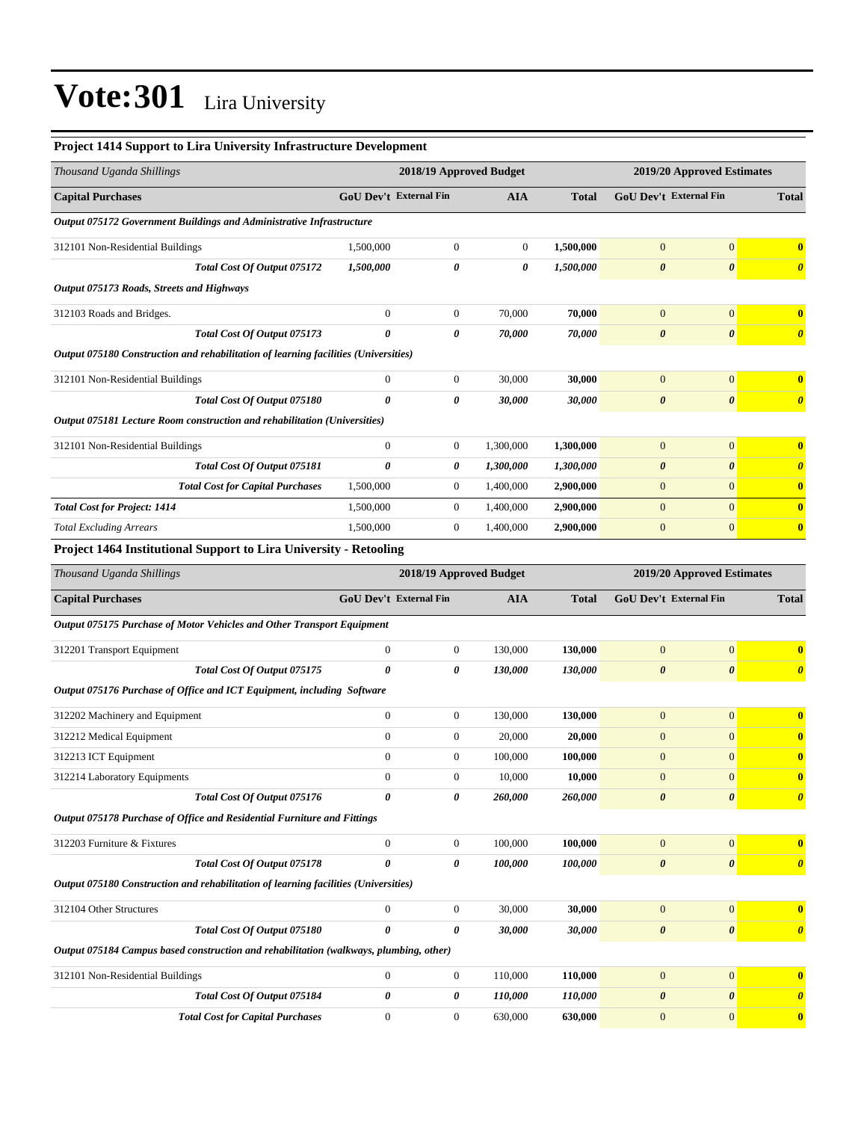#### **Project 1414 Support to Lira University Infrastructure Development**

| Thousand Uganda Shillings                                                           |                               | 2018/19 Approved Budget |                |              | 2019/20 Approved Estimates    |                       |                         |
|-------------------------------------------------------------------------------------|-------------------------------|-------------------------|----------------|--------------|-------------------------------|-----------------------|-------------------------|
| <b>Capital Purchases</b>                                                            | <b>GoU Dev't External Fin</b> |                         | <b>AIA</b>     | <b>Total</b> | <b>GoU Dev't External Fin</b> |                       | <b>Total</b>            |
| Output 075172 Government Buildings and Administrative Infrastructure                |                               |                         |                |              |                               |                       |                         |
| 312101 Non-Residential Buildings                                                    | 1,500,000                     | $\mathbf{0}$            | $\overline{0}$ | 1,500,000    | $\overline{0}$                | $\mathbf{0}$          | $\overline{\mathbf{0}}$ |
| Total Cost Of Output 075172                                                         | 1,500,000                     | 0                       | 0              | 1,500,000    | $\boldsymbol{\theta}$         | $\boldsymbol{\theta}$ | $\boldsymbol{\theta}$   |
| Output 075173 Roads, Streets and Highways                                           |                               |                         |                |              |                               |                       |                         |
| 312103 Roads and Bridges.                                                           | $\overline{0}$                | $\boldsymbol{0}$        | 70,000         | 70,000       | $\overline{0}$                | $\mathbf{0}$          | $\mathbf{0}$            |
| Total Cost Of Output 075173                                                         | 0                             | 0                       | 70,000         | 70,000       | $\boldsymbol{\theta}$         | $\boldsymbol{\theta}$ | $\boldsymbol{\theta}$   |
| Output 075180 Construction and rehabilitation of learning facilities (Universities) |                               |                         |                |              |                               |                       |                         |
| 312101 Non-Residential Buildings                                                    | $\overline{0}$                | $\mathbf{0}$            | 30,000         | 30,000       | $\mathbf{0}$                  | $\mathbf{0}$          | $\overline{\mathbf{0}}$ |
| Total Cost Of Output 075180                                                         | 0                             | 0                       | 30,000         | 30,000       | $\boldsymbol{\theta}$         | $\boldsymbol{\theta}$ | $\boldsymbol{\theta}$   |
| Output 075181 Lecture Room construction and rehabilitation (Universities)           |                               |                         |                |              |                               |                       |                         |
| 312101 Non-Residential Buildings                                                    | $\overline{0}$                | $\mathbf{0}$            | 1,300,000      | 1,300,000    | $\overline{0}$                | $\mathbf{0}$          | $\mathbf{0}$            |
| Total Cost Of Output 075181                                                         | 0                             | 0                       | 1,300,000      | 1,300,000    | $\boldsymbol{\theta}$         | $\boldsymbol{\theta}$ | $\boldsymbol{\theta}$   |
| <b>Total Cost for Capital Purchases</b>                                             | 1,500,000                     | $\mathbf{0}$            | 1,400,000      | 2,900,000    | $\mathbf{0}$                  | $\mathbf{0}$          | $\mathbf{0}$            |
| <b>Total Cost for Project: 1414</b>                                                 | 1,500,000                     | $\mathbf{0}$            | 1,400,000      | 2,900,000    | $\overline{0}$                | $\overline{0}$        | $\overline{\mathbf{0}}$ |
| <b>Total Excluding Arrears</b>                                                      | 1,500,000                     | $\mathbf{0}$            | 1,400,000      | 2,900,000    | $\mathbf{0}$                  | $\mathbf{0}$          | $\overline{\mathbf{0}}$ |
| <b>Project 1464 Institutional Support to Lira University - Retooling</b>            |                               |                         |                |              |                               |                       |                         |

| Thousand Uganda Shillings                                                              |                               | 2018/19 Approved Budget |            |              | 2019/20 Approved Estimates    |                       |                                  |  |
|----------------------------------------------------------------------------------------|-------------------------------|-------------------------|------------|--------------|-------------------------------|-----------------------|----------------------------------|--|
| <b>Capital Purchases</b>                                                               | <b>GoU Dev't External Fin</b> |                         | <b>AIA</b> | <b>Total</b> | <b>GoU Dev't External Fin</b> |                       | <b>Total</b>                     |  |
| Output 075175 Purchase of Motor Vehicles and Other Transport Equipment                 |                               |                         |            |              |                               |                       |                                  |  |
| 312201 Transport Equipment                                                             | $\overline{0}$                | $\mathbf{0}$            | 130,000    | 130,000      | $\overline{0}$                | $\mathbf{0}$          | $\bf{0}$                         |  |
| Total Cost Of Output 075175                                                            | $\boldsymbol{\theta}$         | 0                       | 130.000    | 130,000      | $\boldsymbol{\theta}$         | $\boldsymbol{\theta}$ | $\overline{\boldsymbol{\theta}}$ |  |
| Output 075176 Purchase of Office and ICT Equipment, including Software                 |                               |                         |            |              |                               |                       |                                  |  |
| 312202 Machinery and Equipment                                                         | $\mathbf{0}$                  | $\mathbf{0}$            | 130,000    | 130,000      | $\mathbf{0}$                  | $\mathbf{0}$          | $\bf{0}$                         |  |
| 312212 Medical Equipment                                                               | $\overline{0}$                | $\mathbf{0}$            | 20,000     | 20,000       | $\mathbf{0}$                  | $\mathbf{0}$          | $\bf{0}$                         |  |
| 312213 ICT Equipment                                                                   | $\overline{0}$                | $\mathbf{0}$            | 100,000    | 100,000      | $\mathbf{0}$                  | $\overline{0}$        | $\bf{0}$                         |  |
| 312214 Laboratory Equipments                                                           | $\overline{0}$                | $\mathbf{0}$            | 10,000     | 10,000       | $\mathbf{0}$                  | $\overline{0}$        | $\bf{0}$                         |  |
| Total Cost Of Output 075176                                                            | 0                             | 0                       | 260,000    | 260,000      | $\boldsymbol{\theta}$         | $\boldsymbol{\theta}$ | $\boldsymbol{\theta}$            |  |
| Output 075178 Purchase of Office and Residential Furniture and Fittings                |                               |                         |            |              |                               |                       |                                  |  |
| 312203 Furniture & Fixtures                                                            | $\overline{0}$                | $\boldsymbol{0}$        | 100,000    | 100,000      | $\Omega$                      | $\mathbf{0}$          | $\overline{\mathbf{0}}$          |  |
| Total Cost Of Output 075178                                                            | 0                             | 0                       | 100,000    | 100,000      | $\boldsymbol{\theta}$         | $\boldsymbol{\theta}$ | $\boldsymbol{\theta}$            |  |
| Output 075180 Construction and rehabilitation of learning facilities (Universities)    |                               |                         |            |              |                               |                       |                                  |  |
| 312104 Other Structures                                                                | $\overline{0}$                | $\mathbf{0}$            | 30,000     | 30,000       | $\overline{0}$                | $\mathbf{0}$          | $\bf{0}$                         |  |
| Total Cost Of Output 075180                                                            | 0                             | 0                       | 30,000     | 30,000       | $\boldsymbol{\theta}$         | $\boldsymbol{\theta}$ | $\boldsymbol{\theta}$            |  |
| Output 075184 Campus based construction and rehabilitation (walkways, plumbing, other) |                               |                         |            |              |                               |                       |                                  |  |
| 312101 Non-Residential Buildings                                                       | $\mathbf{0}$                  | $\mathbf{0}$            | 110,000    | 110,000      | $\mathbf{0}$                  | $\mathbf{0}$          | $\bf{0}$                         |  |
| Total Cost Of Output 075184                                                            | 0                             | 0                       | 110,000    | 110,000      | $\boldsymbol{\theta}$         | $\boldsymbol{\theta}$ | $\boldsymbol{\theta}$            |  |
| <b>Total Cost for Capital Purchases</b>                                                | $\Omega$                      | $\mathbf{0}$            | 630,000    | 630,000      | $\overline{0}$                | $\overline{0}$        | $\bf{0}$                         |  |
|                                                                                        |                               |                         |            |              |                               |                       |                                  |  |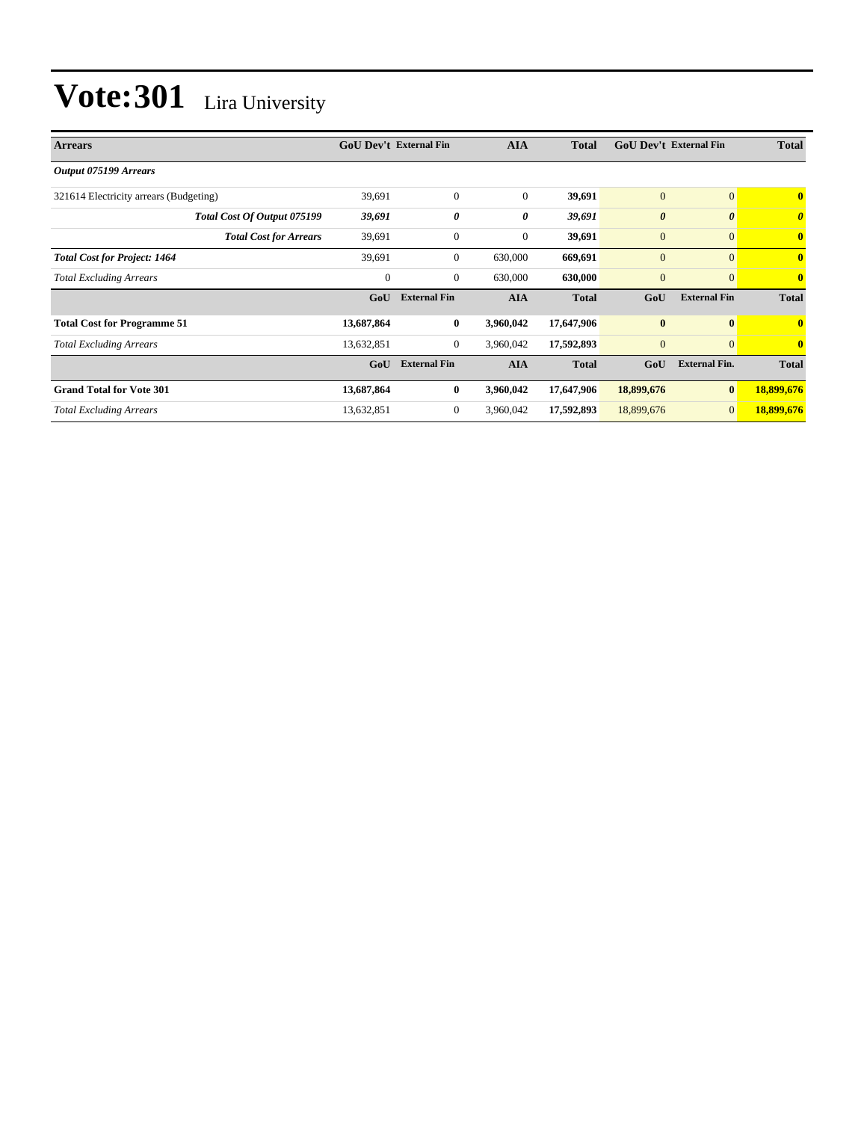| <b>Arrears</b>                         | <b>GoU Dev't External Fin</b> |                     | <b>AIA</b>       | <b>Total</b> | <b>GoU Dev't External Fin</b> |                       | <b>Total</b>          |
|----------------------------------------|-------------------------------|---------------------|------------------|--------------|-------------------------------|-----------------------|-----------------------|
| Output 075199 Arrears                  |                               |                     |                  |              |                               |                       |                       |
| 321614 Electricity arrears (Budgeting) | 39,691                        | $\mathbf{0}$        | $\mathbf{0}$     | 39,691       | $\mathbf{0}$                  | $\overline{0}$        | $\mathbf{0}$          |
| Total Cost Of Output 075199            | 39,691                        | 0                   | 0                | 39,691       | $\boldsymbol{\theta}$         | $\boldsymbol{\theta}$ | $\boldsymbol{\theta}$ |
| <b>Total Cost for Arrears</b>          | 39,691                        | $\mathbf{0}$        | $\boldsymbol{0}$ | 39,691       | $\mathbf{0}$                  | $\mathbf{0}$          | $\mathbf{0}$          |
| <b>Total Cost for Project: 1464</b>    | 39,691                        | $\mathbf{0}$        | 630,000          | 669,691      | $\mathbf{0}$                  | $\mathbf{0}$          | $\mathbf{0}$          |
| <b>Total Excluding Arrears</b>         | 0                             | $\mathbf{0}$        | 630,000          | 630,000      | $\mathbf{0}$                  | $\mathbf{0}$          | $\mathbf{0}$          |
|                                        | GoU                           | <b>External Fin</b> | <b>AIA</b>       | <b>Total</b> | GoU                           | <b>External Fin</b>   | <b>Total</b>          |
| <b>Total Cost for Programme 51</b>     | 13,687,864                    | $\bf{0}$            | 3,960,042        | 17,647,906   | $\bf{0}$                      | $\bf{0}$              | 0                     |
| <b>Total Excluding Arrears</b>         | 13,632,851                    | $\overline{0}$      | 3,960,042        | 17,592,893   | $\mathbf{0}$                  | $\mathbf{0}$          | $\mathbf{0}$          |
|                                        | GoU                           | <b>External Fin</b> | <b>AIA</b>       | <b>Total</b> | GoU                           | <b>External Fin.</b>  | <b>Total</b>          |
| <b>Grand Total for Vote 301</b>        | 13,687,864                    | $\bf{0}$            | 3,960,042        | 17,647,906   | 18,899,676                    | $\bf{0}$              | 18,899,676            |
| <b>Total Excluding Arrears</b>         | 13,632,851                    | $\boldsymbol{0}$    | 3,960,042        | 17,592,893   | 18,899,676                    | $\mathbf{0}$          | 18,899,676            |